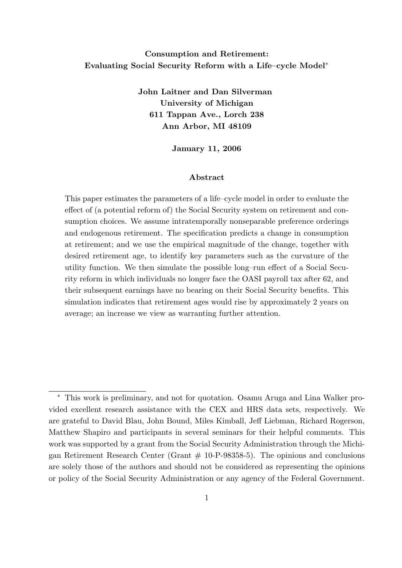# Consumption and Retirement: Evaluating Social Security Reform with a Life–cycle Model<sup>∗</sup>

John Laitner and Dan Silverman University of Michigan 611 Tappan Ave., Lorch 238 Ann Arbor, MI 48109

January 11, 2006

# Abstract

This paper estimates the parameters of a life–cycle model in order to evaluate the effect of (a potential reform of) the Social Security system on retirement and consumption choices. We assume intratemporally nonseparable preference orderings and endogenous retirement. The specification predicts a change in consumption at retirement; and we use the empirical magnitude of the change, together with desired retirement age, to identify key parameters such as the curvature of the utility function. We then simulate the possible long–run effect of a Social Security reform in which individuals no longer face the OASI payroll tax after 62, and their subsequent earnings have no bearing on their Social Security benefits. This simulation indicates that retirement ages would rise by approximately 2 years on average; an increase we view as warranting further attention.

<sup>∗</sup> This work is preliminary, and not for quotation. Osamu Aruga and Lina Walker provided excellent research assistance with the CEX and HRS data sets, respectively. We are grateful to David Blau, John Bound, Miles Kimball, Jeff Liebman, Richard Rogerson, Matthew Shapiro and participants in several seminars for their helpful comments. This work was supported by a grant from the Social Security Administration through the Michigan Retirement Research Center (Grant  $# 10-P-98358-5$ ). The opinions and conclusions are solely those of the authors and should not be considered as representing the opinions or policy of the Social Security Administration or any agency of the Federal Government.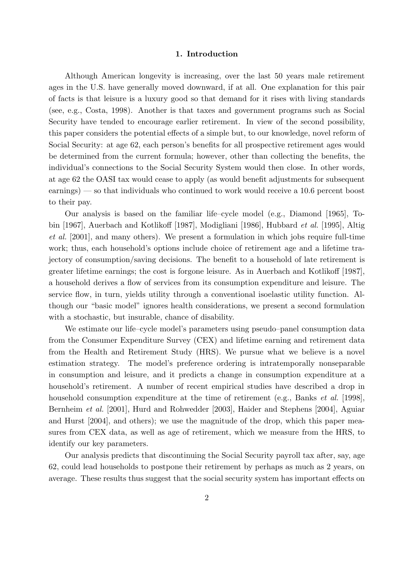# 1. Introduction

Although American longevity is increasing, over the last 50 years male retirement ages in the U.S. have generally moved downward, if at all. One explanation for this pair of facts is that leisure is a luxury good so that demand for it rises with living standards (see, e.g., Costa, 1998). Another is that taxes and government programs such as Social Security have tended to encourage earlier retirement. In view of the second possibility, this paper considers the potential effects of a simple but, to our knowledge, novel reform of Social Security: at age 62, each person's benefits for all prospective retirement ages would be determined from the current formula; however, other than collecting the benefits, the individual's connections to the Social Security System would then close. In other words, at age 62 the OASI tax would cease to apply (as would benefit adjustments for subsequent earnings) — so that individuals who continued to work would receive a 10.6 percent boost to their pay.

Our analysis is based on the familiar life–cycle model (e.g., Diamond [1965], Tobin [1967], Auerbach and Kotlikoff [1987], Modigliani [1986], Hubbard et al. [1995], Altig et al. [2001], and many others). We present a formulation in which jobs require full-time work; thus, each household's options include choice of retirement age and a lifetime trajectory of consumption/saving decisions. The benefit to a household of late retirement is greater lifetime earnings; the cost is forgone leisure. As in Auerbach and Kotlikoff [1987], a household derives a flow of services from its consumption expenditure and leisure. The service flow, in turn, yields utility through a conventional isoelastic utility function. Although our "basic model" ignores health considerations, we present a second formulation with a stochastic, but insurable, chance of disability.

We estimate our life–cycle model's parameters using pseudo–panel consumption data from the Consumer Expenditure Survey (CEX) and lifetime earning and retirement data from the Health and Retirement Study (HRS). We pursue what we believe is a novel estimation strategy. The model's preference ordering is intratemporally nonseparable in consumption and leisure, and it predicts a change in consumption expenditure at a household's retirement. A number of recent empirical studies have described a drop in household consumption expenditure at the time of retirement (e.g., Banks *et al.* [1998], Bernheim et al. [2001], Hurd and Rohwedder [2003], Haider and Stephens [2004], Aguiar and Hurst [2004], and others); we use the magnitude of the drop, which this paper measures from CEX data, as well as age of retirement, which we measure from the HRS, to identify our key parameters.

Our analysis predicts that discontinuing the Social Security payroll tax after, say, age 62, could lead households to postpone their retirement by perhaps as much as 2 years, on average. These results thus suggest that the social security system has important effects on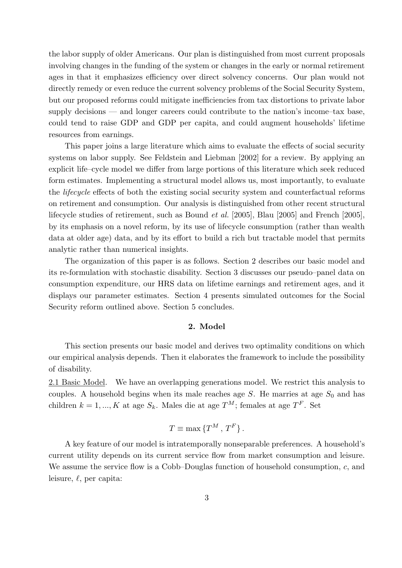the labor supply of older Americans. Our plan is distinguished from most current proposals involving changes in the funding of the system or changes in the early or normal retirement ages in that it emphasizes efficiency over direct solvency concerns. Our plan would not directly remedy or even reduce the current solvency problems of the Social Security System, but our proposed reforms could mitigate inefficiencies from tax distortions to private labor supply decisions — and longer careers could contribute to the nation's income–tax base, could tend to raise GDP and GDP per capita, and could augment households' lifetime resources from earnings.

This paper joins a large literature which aims to evaluate the effects of social security systems on labor supply. See Feldstein and Liebman [2002] for a review. By applying an explicit life–cycle model we differ from large portions of this literature which seek reduced form estimates. Implementing a structural model allows us, most importantly, to evaluate the lifecycle effects of both the existing social security system and counterfactual reforms on retirement and consumption. Our analysis is distinguished from other recent structural lifecycle studies of retirement, such as Bound et al. [2005], Blau [2005] and French [2005], by its emphasis on a novel reform, by its use of lifecycle consumption (rather than wealth data at older age) data, and by its effort to build a rich but tractable model that permits analytic rather than numerical insights.

The organization of this paper is as follows. Section 2 describes our basic model and its re-formulation with stochastic disability. Section 3 discusses our pseudo–panel data on consumption expenditure, our HRS data on lifetime earnings and retirement ages, and it displays our parameter estimates. Section 4 presents simulated outcomes for the Social Security reform outlined above. Section 5 concludes.

## 2. Model

This section presents our basic model and derives two optimality conditions on which our empirical analysis depends. Then it elaborates the framework to include the possibility of disability.

2.1 Basic Model. We have an overlapping generations model. We restrict this analysis to couples. A household begins when its male reaches age  $S$ . He marries at age  $S_0$  and has children  $k = 1, ..., K$  at age  $S_k$ . Males die at age  $T^M$ ; females at age  $T^F$ . Set

$$
T \equiv \max \{T^M \, , \, T^F\} \, .
$$

A key feature of our model is intratemporally nonseparable preferences. A household's current utility depends on its current service flow from market consumption and leisure. We assume the service flow is a Cobb-Douglas function of household consumption, c, and leisure,  $\ell$ , per capita: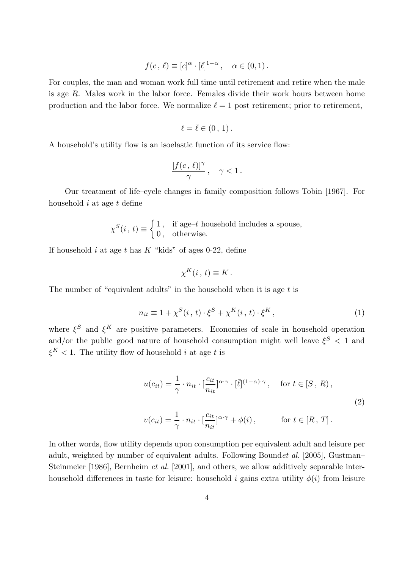$$
f(c, \ell) \equiv [c]^{\alpha} \cdot [\ell]^{1-\alpha}, \quad \alpha \in (0,1).
$$

For couples, the man and woman work full time until retirement and retire when the male is age R. Males work in the labor force. Females divide their work hours between home production and the labor force. We normalize  $\ell = 1$  post retirement; prior to retirement,

$$
\ell=\bar{\ell}\in(0\,,\,1)\,.
$$

A household's utility flow is an isoelastic function of its service flow:

$$
\frac{[f(c, \ell)]^{\gamma}}{\gamma}\,, \quad \gamma < 1\,.
$$

Our treatment of life–cycle changes in family composition follows Tobin [1967]. For household  $i$  at age  $t$  define

$$
\chi^S(i, t) \equiv \begin{cases} 1, & \text{if age-}t \text{ household includes a spouse,} \\ 0, & \text{otherwise.} \end{cases}
$$

If household i at age t has  $K$  "kids" of ages 0-22, define

$$
\chi^K(i,t) \equiv K.
$$

The number of "equivalent adults" in the household when it is age  $t$  is

$$
n_{it} \equiv 1 + \chi^S(i, t) \cdot \xi^S + \chi^K(i, t) \cdot \xi^K,
$$
\n<sup>(1)</sup>

where  $\xi^S$  and  $\xi^K$  are positive parameters. Economies of scale in household operation and/or the public–good nature of household consumption might well leave  $\xi^S$  < 1 and  $\xi^K$  < 1. The utility flow of household i at age t is

$$
u(c_{it}) = \frac{1}{\gamma} \cdot n_{it} \cdot \left[\frac{c_{it}}{n_{it}}\right]^{\alpha \cdot \gamma} \cdot \left[\bar{\ell}\right]^{(1-\alpha)\cdot \gamma}, \quad \text{for } t \in [S, R),
$$
  

$$
v(c_{it}) = \frac{1}{\gamma} \cdot n_{it} \cdot \left[\frac{c_{it}}{n_{it}}\right]^{\alpha \cdot \gamma} + \phi(i), \qquad \text{for } t \in [R, T].
$$
 (2)

In other words, flow utility depends upon consumption per equivalent adult and leisure per adult, weighted by number of equivalent adults. Following Boundet al. [2005], Gustman– Steinmeier [1986], Bernheim *et al.* [2001], and others, we allow additively separable interhousehold differences in taste for leisure: household i gains extra utility  $\phi(i)$  from leisure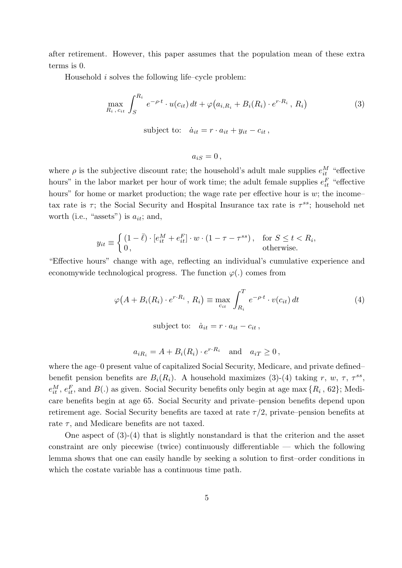after retirement. However, this paper assumes that the population mean of these extra terms is 0.

Household  $i$  solves the following life–cycle problem:

$$
\max_{R_i, c_{it}} \int_{S}^{R_i} e^{-\rho \cdot t} \cdot u(c_{it}) dt + \varphi(a_{i,R_i} + B_i(R_i) \cdot e^{r \cdot R_i}, R_i)
$$
\n(3)

subject to:  $\dot{a}_{it} = r \cdot a_{it} + y_{it} - c_{it}$ ,

$$
a_{iS}=0\,,
$$

where  $\rho$  is the subjective discount rate; the household's adult male supplies  $e_{it}^M$  "effective" hours" in the labor market per hour of work time; the adult female supplies  $e_{it}^F$  "effective hours" for home or market production; the wage rate per effective hour is  $w$ ; the incometax rate is  $\tau$ ; the Social Security and Hospital Insurance tax rate is  $\tau^{ss}$ ; household net worth (i.e., "assets") is  $a_{it}$ ; and,

$$
y_{it} \equiv \begin{cases} (1 - \bar{\ell}) \cdot [e_{it}^M + e_{it}^F] \cdot w \cdot (1 - \tau - \tau^{ss}), & \text{for } S \le t < R_i, \\ 0, & \text{otherwise.} \end{cases}
$$

"Effective hours" change with age, reflecting an individual's cumulative experience and economywide technological progress. The function  $\varphi(.)$  comes from

$$
\varphi(A + B_i(R_i) \cdot e^{r \cdot R_i}, R_i) \equiv \max_{c_{it}} \int_{R_i}^T e^{-\rho \cdot t} \cdot v(c_{it}) dt \tag{4}
$$

subject to:  $\dot{a}_{it} = r \cdot a_{it} - c_{it}$ ,

$$
a_{iR_i} = A + B_i(R_i) \cdot e^{r \cdot R_i} \quad \text{and} \quad a_{iT} \ge 0,
$$

where the age–0 present value of capitalized Social Security, Medicare, and private defined– benefit pension benefits are  $B_i(R_i)$ . A household maximizes (3)-(4) taking r, w,  $\tau$ ,  $\tau^{ss}$ ,  $e_{it}^M$ ,  $e_{it}^F$ , and  $B(.)$  as given. Social Security benefits only begin at age max  $\{R_i, 62\}$ ; Medicare benefits begin at age 65. Social Security and private–pension benefits depend upon retirement age. Social Security benefits are taxed at rate  $\tau/2$ , private–pension benefits at rate  $\tau$ , and Medicare benefits are not taxed.

One aspect of (3)-(4) that is slightly nonstandard is that the criterion and the asset constraint are only piecewise (twice) continuously differentiable — which the following lemma shows that one can easily handle by seeking a solution to first–order conditions in which the costate variable has a continuous time path.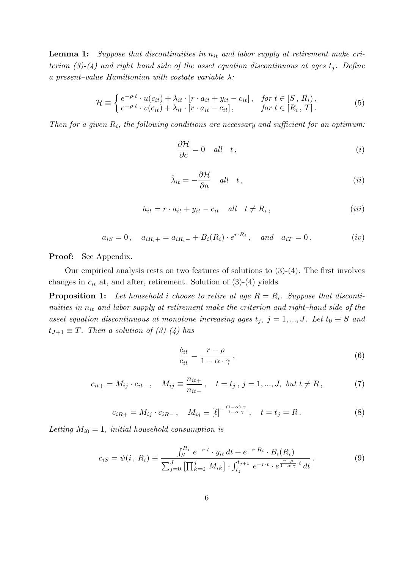**Lemma 1:** Suppose that discontinuities in  $n_{it}$  and labor supply at retirement make criterion (3)-(4) and right-hand side of the asset equation discontinuous at ages  $t_j$ . Define a present–value Hamiltonian with costate variable  $\lambda$ :

$$
\mathcal{H} \equiv \begin{cases} e^{-\rho \cdot t} \cdot u(c_{it}) + \lambda_{it} \cdot [r \cdot a_{it} + y_{it} - c_{it}], & \text{for } t \in [S, R_i), \\ e^{-\rho \cdot t} \cdot v(c_{it}) + \lambda_{it} \cdot [r \cdot a_{it} - c_{it}], & \text{for } t \in [R_i, T]. \end{cases}
$$
(5)

Then for a given  $R_i$ , the following conditions are necessary and sufficient for an optimum:

$$
\frac{\partial \mathcal{H}}{\partial c} = 0 \quad all \quad t \,, \tag{i}
$$

$$
\dot{\lambda}_{it} = -\frac{\partial \mathcal{H}}{\partial a} \quad all \quad t \,, \tag{ii}
$$

$$
\dot{a}_{it} = r \cdot a_{it} + y_{it} - c_{it} \quad all \quad t \neq R_i, \tag{iii}
$$

$$
a_{iS} = 0
$$
,  $a_{iR_i+} = a_{iR_i-} + B_i(R_i) \cdot e^{r \cdot R_i}$ , and  $a_{iT} = 0$ .  $(iv)$ 

Proof: See Appendix.

Our empirical analysis rests on two features of solutions to (3)-(4). The first involves changes in  $c_{it}$  at, and after, retirement. Solution of  $(3)-(4)$  yields

**Proposition 1:** Let household i choose to retire at age  $R = R_i$ . Suppose that discontinuities in  $n_{it}$  and labor supply at retirement make the criterion and right–hand side of the asset equation discontinuous at monotone increasing ages  $t_j$ ,  $j = 1, ..., J$ . Let  $t_0 \equiv S$  and  $t_{J+1} \equiv T$ . Then a solution of  $(3)-(4)$  has

$$
\frac{\dot{c}_{it}}{c_{it}} = \frac{r - \rho}{1 - \alpha \cdot \gamma},\tag{6}
$$

$$
c_{it+} = M_{ij} \cdot c_{it-}, \quad M_{ij} \equiv \frac{n_{it+}}{n_{it-}}, \quad t = t_j, \ j = 1, ..., J, \ but \ t \neq R,
$$
 (7)

$$
c_{iR+} = M_{ij} \cdot c_{iR-}, \quad M_{ij} \equiv [\bar{\ell}]^{-\frac{(1-\alpha)\cdot \gamma}{1-\alpha\cdot \gamma}}, \quad t = t_j = R. \tag{8}
$$

Letting  $M_{i0} = 1$ , initial household consumption is

$$
c_{iS} = \psi(i, R_i) \equiv \frac{\int_{S}^{R_i} e^{-r \cdot t} \cdot y_{it} dt + e^{-r \cdot R_i} \cdot B_i(R_i)}{\sum_{j=0}^{J} \left[ \prod_{k=0}^{j} M_{ik} \right] \cdot \int_{t_j}^{t_{j+1}} e^{-r \cdot t} \cdot e^{\frac{r - \rho}{1 - \alpha \cdot \gamma} \cdot t} dt}.
$$
(9)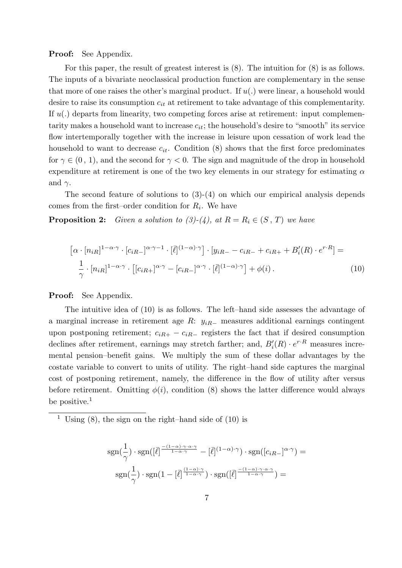Proof: See Appendix.

For this paper, the result of greatest interest is (8). The intuition for (8) is as follows. The inputs of a bivariate neoclassical production function are complementary in the sense that more of one raises the other's marginal product. If  $u(.)$  were linear, a household would desire to raise its consumption  $c_{it}$  at retirement to take advantage of this complementarity. If  $u(.)$  departs from linearity, two competing forces arise at retirement: input complementarity makes a household want to increase  $c_{it}$ ; the household's desire to "smooth" its service flow intertemporally together with the increase in leisure upon cessation of work lead the household to want to decrease  $c_{it}$ . Condition (8) shows that the first force predominates for  $\gamma \in (0, 1)$ , and the second for  $\gamma < 0$ . The sign and magnitude of the drop in household expenditure at retirement is one of the two key elements in our strategy for estimating  $\alpha$ and  $\gamma$ .

The second feature of solutions to  $(3)-(4)$  on which our empirical analysis depends comes from the first–order condition for  $R_i$ . We have

**Proposition 2:** Given a solution to  $(3)-(4)$ , at  $R = R_i \in (S, T)$  we have

$$
\left[\alpha \cdot [n_{iR}]^{1-\alpha \cdot \gamma} \cdot [c_{iR-}]^{\alpha \cdot \gamma-1} \cdot [\bar{\ell}]^{(1-\alpha)\cdot \gamma}\right] \cdot [y_{iR-} - c_{iR-} + c_{iR+} + B'_{i}(R) \cdot e^{r \cdot R}] =
$$
  

$$
\frac{1}{\gamma} \cdot [n_{iR}]^{1-\alpha \cdot \gamma} \cdot \left[ [c_{iR+}]^{\alpha \cdot \gamma} - [c_{iR-}]^{\alpha \cdot \gamma} \cdot [\bar{\ell}]^{(1-\alpha)\cdot \gamma}\right] + \phi(i).
$$
 (10)

Proof: See Appendix.

The intuitive idea of (10) is as follows. The left–hand side assesses the advantage of a marginal increase in retirement age R:  $y_{iR-}$  measures additional earnings contingent upon postponing retirement;  $c_{iR+} - c_{iR-}$  registers the fact that if desired consumption declines after retirement, earnings may stretch farther; and,  $B_i'(R) \cdot e^{r \cdot R}$  measures incremental pension–benefit gains. We multiply the sum of these dollar advantages by the costate variable to convert to units of utility. The right–hand side captures the marginal cost of postponing retirement, namely, the difference in the flow of utility after versus before retirement. Omitting  $\phi(i)$ , condition (8) shows the latter difference would always be positive. $<sup>1</sup>$ </sup>

$$
sgn(\frac{1}{\gamma}) \cdot sgn([\bar{\ell}]^{\frac{-(1-\alpha)\cdot \gamma \cdot \alpha \cdot \gamma}{1-\alpha \cdot \gamma}} - [\bar{\ell}]^{(1-\alpha)\cdot \gamma}) \cdot sgn([c_{iR-}]^{\alpha \cdot \gamma}) =
$$

$$
sgn(\frac{1}{\gamma}) \cdot sgn(1 - [\bar{\ell}]^{\frac{(1-\alpha)\cdot \gamma}{1-\alpha \cdot \gamma}}) \cdot sgn([\bar{\ell}]^{\frac{-(1-\alpha)\cdot \gamma \cdot \alpha \cdot \gamma}{1-\alpha \cdot \gamma}}) =
$$

<sup>&</sup>lt;sup>1</sup> Using (8), the sign on the right–hand side of (10) is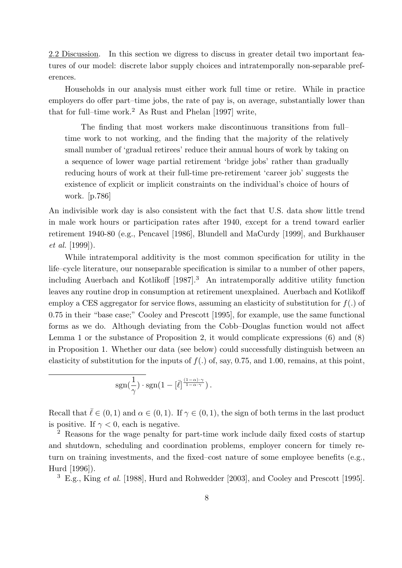2.2 Discussion. In this section we digress to discuss in greater detail two important features of our model: discrete labor supply choices and intratemporally non-separable preferences.

Households in our analysis must either work full time or retire. While in practice employers do offer part–time jobs, the rate of pay is, on average, substantially lower than that for full–time work.<sup>2</sup> As Rust and Phelan [1997] write,

The finding that most workers make discontinuous transitions from full– time work to not working, and the finding that the majority of the relatively small number of 'gradual retirees' reduce their annual hours of work by taking on a sequence of lower wage partial retirement 'bridge jobs' rather than gradually reducing hours of work at their full-time pre-retirement 'career job' suggests the existence of explicit or implicit constraints on the individual's choice of hours of work. [p.786]

An indivisible work day is also consistent with the fact that U.S. data show little trend in male work hours or participation rates after 1940, except for a trend toward earlier retirement 1940-80 (e.g., Pencavel [1986], Blundell and MaCurdy [1999], and Burkhauser et al. [1999]).

While intratemporal additivity is the most common specification for utility in the life–cycle literature, our nonseparable specification is similar to a number of other papers, including Auerbach and Kotlikoff  $[1987]$ <sup>3</sup> An intratemporally additive utility function leaves any routine drop in consumption at retirement unexplained. Auerbach and Kotlikoff employ a CES aggregator for service flows, assuming an elasticity of substitution for  $f(.)$  of 0.75 in their "base case;" Cooley and Prescott [1995], for example, use the same functional forms as we do. Although deviating from the Cobb–Douglas function would not affect Lemma 1 or the substance of Proposition 2, it would complicate expressions (6) and (8) in Proposition 1. Whether our data (see below) could successfully distinguish between an elasticity of substitution for the inputs of  $f(.)$  of, say, 0.75, and 1.00, remains, at this point,

$$
\mathrm{sgn}(\frac{1}{\gamma}) \cdot \mathrm{sgn}(1-[\bar{\ell}]^{\frac{(1-\alpha)\cdot \gamma}{1-\alpha\cdot \gamma}})\,.
$$

Recall that  $\bar{\ell} \in (0, 1)$  and  $\alpha \in (0, 1)$ . If  $\gamma \in (0, 1)$ , the sign of both terms in the last product is positive. If  $\gamma < 0$ , each is negative.

<sup>2</sup> Reasons for the wage penalty for part-time work include daily fixed costs of startup and shutdown, scheduling and coordination problems, employer concern for timely return on training investments, and the fixed–cost nature of some employee benefits (e.g., Hurd [1996]).

 $3$  E.g., King *et al.* [1988], Hurd and Rohwedder [2003], and Cooley and Prescott [1995].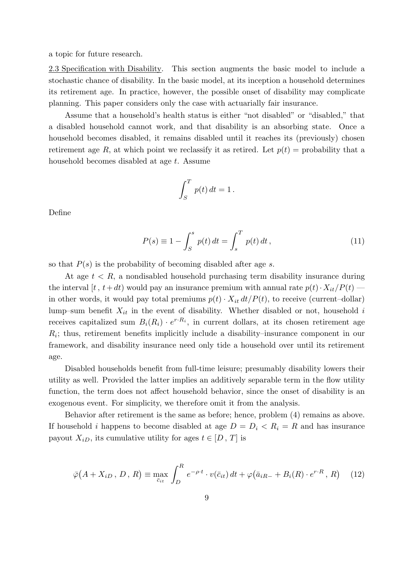a topic for future research.

2.3 Specification with Disability. This section augments the basic model to include a stochastic chance of disability. In the basic model, at its inception a household determines its retirement age. In practice, however, the possible onset of disability may complicate planning. This paper considers only the case with actuarially fair insurance.

Assume that a household's health status is either "not disabled" or "disabled," that a disabled household cannot work, and that disability is an absorbing state. Once a household becomes disabled, it remains disabled until it reaches its (previously) chosen retirement age R, at which point we reclassify it as retired. Let  $p(t) =$  probability that a household becomes disabled at age t. Assume

$$
\int_{S}^{T} p(t) dt = 1.
$$

Define

$$
P(s) \equiv 1 - \int_{S}^{s} p(t) dt = \int_{s}^{T} p(t) dt,
$$
\n(11)

so that  $P(s)$  is the probability of becoming disabled after age s.

At age  $t < R$ , a nondisabled household purchasing term disability insurance during the interval  $[t, t+dt)$  would pay an insurance premium with annual rate  $p(t) \cdot X_{it}/P(t)$ in other words, it would pay total premiums  $p(t) \cdot X_{it} dt / P(t)$ , to receive (current–dollar) lump–sum benefit  $X_{it}$  in the event of disability. Whether disabled or not, household i receives capitalized sum  $B_i(R_i) \cdot e^{r \cdot R_i}$ , in current dollars, at its chosen retirement age  $R_i$ ; thus, retirement benefits implicitly include a disability–insurance component in our framework, and disability insurance need only tide a household over until its retirement age.

Disabled households benefit from full-time leisure; presumably disability lowers their utility as well. Provided the latter implies an additively separable term in the flow utility function, the term does not affect household behavior, since the onset of disability is an exogenous event. For simplicity, we therefore omit it from the analysis.

Behavior after retirement is the same as before; hence, problem (4) remains as above. If household i happens to become disabled at age  $D = D_i < R_i = R$  and has insurance payout  $X_{iD}$ , its cumulative utility for ages  $t \in [D, T]$  is

$$
\bar{\varphi}\big(A+X_{iD},\,D\,,\,R\big)\equiv\max_{\bar{c}_{it}}\,\int_{D}^{R}\,e^{-\rho\cdot t}\cdot v(\bar{c}_{it})\,dt+\varphi\big(\bar{a}_{iR-}+B_{i}(R)\cdot e^{r\cdot R}\,,\,R\big)\qquad(12)
$$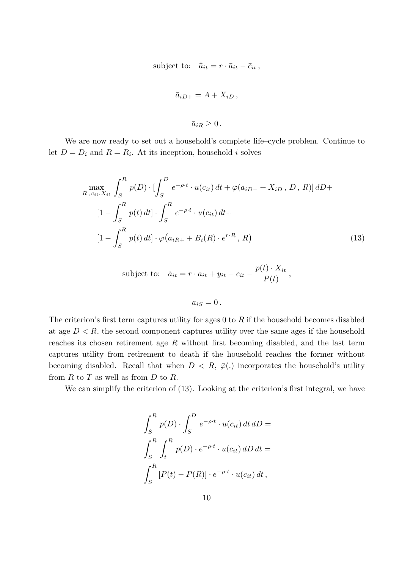subject to:  $\dot{\bar{a}}_{it} = r \cdot \bar{a}_{it} - \bar{c}_{it}$ ,

$$
\bar{a}_{iD+} = A + X_{iD},
$$

 $\bar{a}_{iR} \geq 0$ .

We are now ready to set out a household's complete life–cycle problem. Continue to let  $D = D_i$  and  $R = R_i$ . At its inception, household i solves

$$
\max_{R, c_{it}, X_{it}} \int_{S}^{R} p(D) \cdot \left[ \int_{S}^{D} e^{-\rho \cdot t} \cdot u(c_{it}) dt + \bar{\varphi}(a_{iD-} + X_{iD}, D, R) \right] dD +
$$

$$
\left[ 1 - \int_{S}^{R} p(t) dt \right] \cdot \int_{S}^{R} e^{-\rho \cdot t} \cdot u(c_{it}) dt +
$$

$$
\left[ 1 - \int_{S}^{R} p(t) dt \right] \cdot \varphi(a_{iR+} + B_i(R) \cdot e^{r \cdot R}, R)
$$
(13)

subject to: 
$$
\dot{a}_{it} = r \cdot a_{it} + y_{it} - c_{it} - \frac{p(t) \cdot X_{it}}{P(t)},
$$

$$
a_{iS}=0.
$$

The criterion's first term captures utility for ages 0 to  $R$  if the household becomes disabled at age  $D < R$ , the second component captures utility over the same ages if the household reaches its chosen retirement age  $R$  without first becoming disabled, and the last term captures utility from retirement to death if the household reaches the former without becoming disabled. Recall that when  $D < R$ ,  $\overline{\varphi}$ (.) incorporates the household's utility from  $R$  to  $T$  as well as from  $D$  to  $R$ .

We can simplify the criterion of  $(13)$ . Looking at the criterion's first integral, we have

$$
\int_{S}^{R} p(D) \cdot \int_{S}^{D} e^{-\rho \cdot t} \cdot u(c_{it}) dt dD =
$$
  

$$
\int_{S}^{R} \int_{t}^{R} p(D) \cdot e^{-\rho \cdot t} \cdot u(c_{it}) dD dt =
$$
  

$$
\int_{S}^{R} [P(t) - P(R)] \cdot e^{-\rho \cdot t} \cdot u(c_{it}) dt,
$$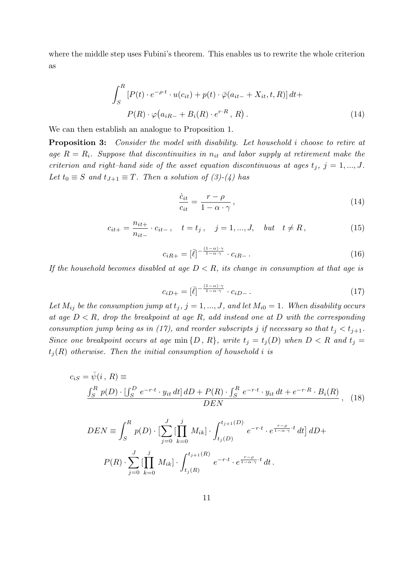where the middle step uses Fubini's theorem. This enables us to rewrite the whole criterion as

$$
\int_{S}^{R} \left[ P(t) \cdot e^{-\rho \cdot t} \cdot u(c_{it}) + p(t) \cdot \overline{\varphi}(a_{it-} + X_{it}, t, R) \right] dt +
$$

$$
P(R) \cdot \varphi(a_{iR-} + B_i(R) \cdot e^{r \cdot R}, R).
$$
 (14)

We can then establish an analogue to Proposition 1.

**Proposition 3:** Consider the model with disability. Let household i choose to retire at age  $R = R_i$ . Suppose that discontinuities in  $n_{it}$  and labor supply at retirement make the criterion and right–hand side of the asset equation discontinuous at ages  $t_j$ ,  $j = 1, ..., J$ . Let  $t_0 \equiv S$  and  $t_{J+1} \equiv T$ . Then a solution of (3)-(4) has

$$
\frac{\dot{c}_{it}}{c_{it}} = \frac{r - \rho}{1 - \alpha \cdot \gamma},\tag{14}
$$

$$
c_{it+} = \frac{n_{it+}}{n_{it-}} \cdot c_{it-} \,, \quad t = t_j \,, \quad j = 1, ..., J, \quad but \quad t \neq R \,, \tag{15}
$$

$$
c_{iR+} = \left[\bar{\ell}\right]^{-\frac{(1-\alpha)\cdot\gamma}{1-\alpha\cdot\gamma}} \cdot c_{iR-} \,. \tag{16}
$$

If the household becomes disabled at age  $D < R$ , its change in consumption at that age is

$$
c_{iD+} = [\bar{\ell}]^{-\frac{(1-\alpha)\cdot\gamma}{1-\alpha\cdot\gamma}} \cdot c_{iD-} \,. \tag{17}
$$

Let  $M_{ij}$  be the consumption jump at  $t_j$ ,  $j = 1, ..., J$ , and let  $M_{i0} = 1$ . When disability occurs at age  $D < R$ , drop the breakpoint at age R, add instead one at D with the corresponding consumption jump being as in (17), and reorder subscripts j if necessary so that  $t_i < t_{i+1}$ . Since one breakpoint occurs at age min  $\{D, R\}$ , write  $t_j = t_j(D)$  when  $D < R$  and  $t_j =$  $t_i(R)$  otherwise. Then the initial consumption of household i is

$$
c_{iS} = \bar{\psi}(i, R) \equiv
$$
  

$$
\frac{\int_{S}^{R} p(D) \cdot \left[ \int_{S}^{D} e^{-r \cdot t} \cdot y_{it} dt \right] dD + P(R) \cdot \int_{S}^{R} e^{-r \cdot t} \cdot y_{it} dt + e^{-r \cdot R} \cdot B_{i}(R)}{DEN},
$$
(18)

$$
DEN \equiv \int_{S}^{R} p(D) \cdot \left[ \sum_{j=0}^{J} \left[ \prod_{k=0}^{j} M_{ik} \right] \cdot \int_{t_{j}(D)}^{t_{j+1}(D)} e^{-r \cdot t} \cdot e^{\frac{r - \rho}{1 - \alpha \cdot \gamma} \cdot t} dt \right] dD +
$$

$$
P(R) \cdot \sum_{j=0}^{J} \left[ \prod_{k=0}^{j} M_{ik} \right] \cdot \int_{t_{j}(R)}^{t_{j+1}(R)} e^{-r \cdot t} \cdot e^{\frac{r - \rho}{1 - \alpha \cdot \gamma} \cdot t} dt.
$$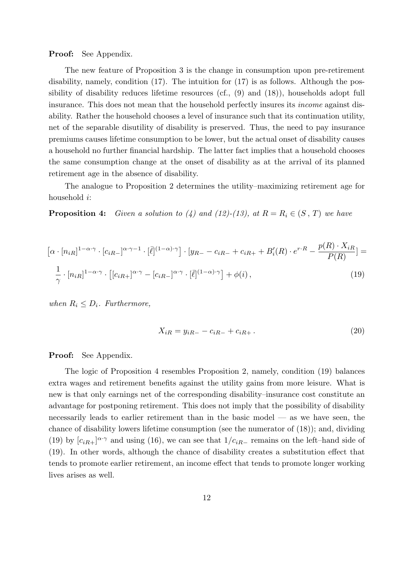#### Proof: See Appendix.

The new feature of Proposition 3 is the change in consumption upon pre-retirement disability, namely, condition (17). The intuition for (17) is as follows. Although the possibility of disability reduces lifetime resources (cf., (9) and (18)), households adopt full insurance. This does not mean that the household perfectly insures its income against disability. Rather the household chooses a level of insurance such that its continuation utility, net of the separable disutility of disability is preserved. Thus, the need to pay insurance premiums causes lifetime consumption to be lower, but the actual onset of disability causes a household no further financial hardship. The latter fact implies that a household chooses the same consumption change at the onset of disability as at the arrival of its planned retirement age in the absence of disability.

The analogue to Proposition 2 determines the utility–maximizing retirement age for household i:

**Proposition 4:** Given a solution to (4) and (12)-(13), at  $R = R_i \in (S, T)$  we have

$$
\left[\alpha \cdot [n_{iR}]^{1-\alpha \cdot \gamma} \cdot [c_{iR-}]^{\alpha \cdot \gamma-1} \cdot [\bar{\ell}]^{(1-\alpha)\cdot \gamma}\right] \cdot [y_{R-}-c_{iR-}+c_{iR+}+B'_{i}(R) \cdot e^{r\cdot R}-\frac{p(R)\cdot X_{iR}}{P(R)}]=\frac{1}{\gamma} \cdot [n_{iR}]^{1-\alpha \cdot \gamma} \cdot \left[ [c_{iR+}]^{\alpha \cdot \gamma}-[c_{iR-}]^{\alpha \cdot \gamma} \cdot [\bar{\ell}]^{(1-\alpha)\cdot \gamma}\right]+\phi(i),\tag{19}
$$

when  $R_i \leq D_i$ . Furthermore,

$$
X_{iR} = y_{iR-} - c_{iR-} + c_{iR+}.
$$
\n(20)

## Proof: See Appendix.

The logic of Proposition 4 resembles Proposition 2, namely, condition (19) balances extra wages and retirement benefits against the utility gains from more leisure. What is new is that only earnings net of the corresponding disability–insurance cost constitute an advantage for postponing retirement. This does not imply that the possibility of disability necessarily leads to earlier retirement than in the basic model — as we have seen, the chance of disability lowers lifetime consumption (see the numerator of (18)); and, dividing (19) by  $[c_{iR+}]^{\alpha \cdot \gamma}$  and using (16), we can see that  $1/c_{iR-}$  remains on the left–hand side of (19). In other words, although the chance of disability creates a substitution effect that tends to promote earlier retirement, an income effect that tends to promote longer working lives arises as well.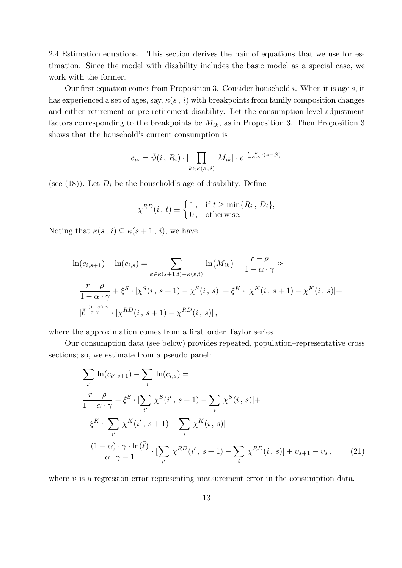2.4 Estimation equations. This section derives the pair of equations that we use for estimation. Since the model with disability includes the basic model as a special case, we work with the former.

Our first equation comes from Proposition 3. Consider household  $i$ . When it is age  $s$ , it has experienced a set of ages, say,  $\kappa(s, i)$  with breakpoints from family composition changes and either retirement or pre-retirement disability. Let the consumption-level adjustment factors corresponding to the breakpoints be  $M_{ik}$ , as in Proposition 3. Then Proposition 3 shows that the household's current consumption is

$$
c_{is} = \bar{\psi}(i, R_i) \cdot \left[\prod_{k \in \kappa(s, i)} M_{ik}\right] \cdot e^{\frac{r - \rho}{1 - \alpha \cdot \gamma} \cdot (s - S)}
$$

(see (18)). Let  $D_i$  be the household's age of disability. Define

$$
\chi^{RD}(i, t) \equiv \begin{cases} 1, & \text{if } t \ge \min\{R_i, D_i\}, \\ 0, & \text{otherwise.} \end{cases}
$$

Noting that  $\kappa(s, i) \subseteq \kappa(s + 1, i)$ , we have

$$
\ln(c_{i,s+1}) - \ln(c_{i,s}) = \sum_{k \in \kappa(s+1,i) - \kappa(s,i)} \ln(M_{ik}) + \frac{r - \rho}{1 - \alpha \cdot \gamma} \approx
$$
  

$$
\frac{r - \rho}{1 - \alpha \cdot \gamma} + \xi^S \cdot [\chi^S(i, s+1) - \chi^S(i, s)] + \xi^K \cdot [\chi^K(i, s+1) - \chi^K(i, s)] +
$$
  

$$
[\bar{\ell}]^{\frac{(1-\alpha)\cdot\gamma}{\alpha\cdot\gamma - 1}} \cdot [\chi^{RD}(i, s+1) - \chi^{RD}(i, s)],
$$

where the approximation comes from a first–order Taylor series.

Our consumption data (see below) provides repeated, population–representative cross sections; so, we estimate from a pseudo panel:

$$
\sum_{i'} \ln(c_{i',s+1}) - \sum_{i} \ln(c_{i,s}) =
$$
\n
$$
\frac{r - \rho}{1 - \alpha \cdot \gamma} + \xi^{S} \cdot [\sum_{i'} \chi^{S}(i', s+1) - \sum_{i} \chi^{S}(i, s)] +
$$
\n
$$
\xi^{K} \cdot [\sum_{i'} \chi^{K}(i', s+1) - \sum_{i} \chi^{K}(i, s)] +
$$
\n
$$
\frac{(1 - \alpha) \cdot \gamma \cdot \ln(\bar{\ell})}{\alpha \cdot \gamma - 1} \cdot [\sum_{i'} \chi^{RD}(i', s+1) - \sum_{i} \chi^{RD}(i, s)] + v_{s+1} - v_{s}, \qquad (21)
$$

where  $\nu$  is a regression error representing measurement error in the consumption data.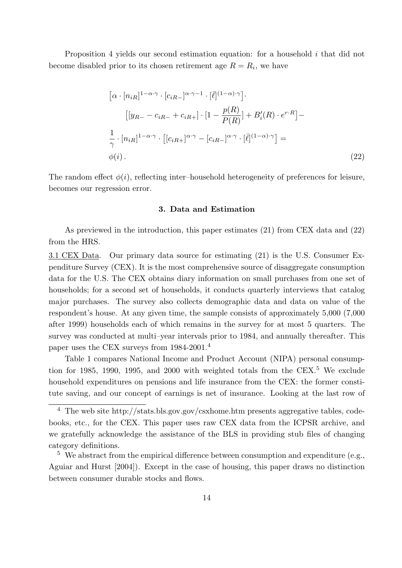Proposition 4 yields our second estimation equation: for a household i that did not become disabled prior to its chosen retirement age  $R = R_i$ , we have

$$
[\alpha \cdot [n_{iR}]^{1-\alpha \cdot \gamma} \cdot [c_{iR-}]^{\alpha \cdot \gamma-1} \cdot [\bar{\ell}]^{(1-\alpha)\cdot \gamma}].
$$
  
\n
$$
[[y_{R-} - c_{iR-} + c_{iR+}] \cdot [1 - \frac{p(R)}{P(R)}] + B'_{i}(R) \cdot e^{r \cdot R}] -
$$
  
\n
$$
\frac{1}{\gamma} \cdot [n_{iR}]^{1-\alpha \cdot \gamma} \cdot [[c_{iR+}]^{\alpha \cdot \gamma} - [c_{iR-}]^{\alpha \cdot \gamma} \cdot [\bar{\ell}]^{(1-\alpha)\cdot \gamma}] =
$$
  
\n
$$
\phi(i).
$$
\n(22)

The random effect  $\phi(i)$ , reflecting inter–household heterogeneity of preferences for leisure, becomes our regression error.

#### 3. Data and Estimation

As previewed in the introduction, this paper estimates (21) from CEX data and (22) from the HRS.

3.1 CEX Data. Our primary data source for estimating (21) is the U.S. Consumer Expenditure Survey (CEX). It is the most comprehensive source of disaggregate consumption data for the U.S. The CEX obtains diary information on small purchases from one set of households; for a second set of households, it conducts quarterly interviews that catalog major purchases. The survey also collects demographic data and data on value of the respondent's house. At any given time, the sample consists of approximately 5,000 (7,000 after 1999) households each of which remains in the survey for at most 5 quarters. The survey was conducted at multi–year intervals prior to 1984, and annually thereafter. This paper uses the CEX surveys from 1984-2001.<sup>4</sup>

Table 1 compares National Income and Product Account (NIPA) personal consumption for 1985, 1990, 1995, and 2000 with weighted totals from the  $CEX$ .<sup>5</sup> We exclude household expenditures on pensions and life insurance from the CEX: the former constitute saving, and our concept of earnings is net of insurance. Looking at the last row of

<sup>4</sup> The web site http://stats.bls.gov.gov/csxhome.htm presents aggregative tables, codebooks, etc., for the CEX. This paper uses raw CEX data from the ICPSR archive, and we gratefully acknowledge the assistance of the BLS in providing stub files of changing category definitions.

 $5$  We abstract from the empirical difference between consumption and expenditure (e.g., Aguiar and Hurst [2004]). Except in the case of housing, this paper draws no distinction between consumer durable stocks and flows.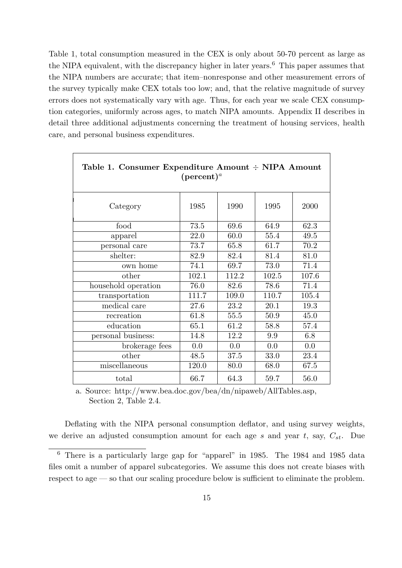Table 1, total consumption measured in the CEX is only about 50-70 percent as large as the NIPA equivalent, with the discrepancy higher in later years.<sup>6</sup> This paper assumes that the NIPA numbers are accurate; that item–nonresponse and other measurement errors of the survey typically make CEX totals too low; and, that the relative magnitude of survey errors does not systematically vary with age. Thus, for each year we scale CEX consumption categories, uniformly across ages, to match NIPA amounts. Appendix II describes in detail three additional adjustments concerning the treatment of housing services, health care, and personal business expenditures.

| Table 1. Consumer Expenditure Amount $\div$ NIPA Amount<br>$(percent)^a$ |       |       |       |       |
|--------------------------------------------------------------------------|-------|-------|-------|-------|
| Category                                                                 | 1985  | 1990  | 1995  | 2000  |
| food                                                                     | 73.5  | 69.6  | 64.9  | 62.3  |
| apparel                                                                  | 22.0  | 60.0  | 55.4  | 49.5  |
| personal care                                                            | 73.7  | 65.8  | 61.7  | 70.2  |
| shelter:                                                                 | 82.9  | 82.4  | 81.4  | 81.0  |
| own home                                                                 | 74.1  | 69.7  | 73.0  | 71.4  |
| other                                                                    | 102.1 | 112.2 | 102.5 | 107.6 |
| household operation                                                      | 76.0  | 82.6  | 78.6  | 71.4  |
| transportation                                                           | 111.7 | 109.0 | 110.7 | 105.4 |
| medical care                                                             | 27.6  | 23.2  | 20.1  | 19.3  |
| recreation                                                               | 61.8  | 55.5  | 50.9  | 45.0  |
| education                                                                | 65.1  | 61.2  | 58.8  | 57.4  |
| personal business:                                                       | 14.8  | 12.2  | 9.9   | 6.8   |
| brokerage fees                                                           | 0.0   | 0.0   | 0.0   | 0.0   |
| other                                                                    | 48.5  | 37.5  | 33.0  | 23.4  |
| miscellaneous                                                            | 120.0 | 80.0  | 68.0  | 67.5  |
| total                                                                    | 66.7  | 64.3  | 59.7  | 56.0  |

a. Source: http://www.bea.doc.gov/bea/dn/nipaweb/AllTables.asp, Section 2, Table 2.4.

Deflating with the NIPA personal consumption deflator, and using survey weights, we derive an adjusted consumption amount for each age s and year t, say,  $C_{st}$ . Due

<sup>6</sup> There is a particularly large gap for "apparel" in 1985. The 1984 and 1985 data files omit a number of apparel subcategories. We assume this does not create biases with respect to age — so that our scaling procedure below is sufficient to eliminate the problem.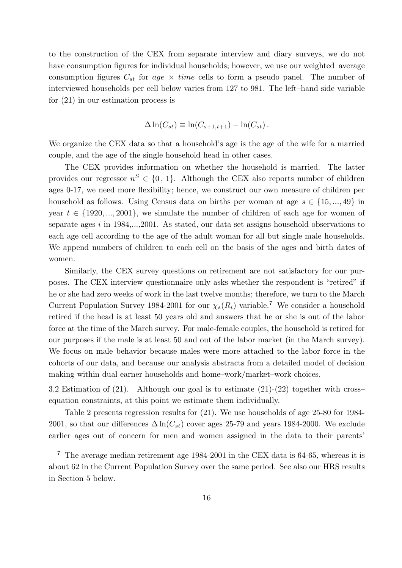to the construction of the CEX from separate interview and diary surveys, we do not have consumption figures for individual households; however, we use our weighted–average consumption figures  $C_{st}$  for age  $\times$  time cells to form a pseudo panel. The number of interviewed households per cell below varies from 127 to 981. The left–hand side variable for (21) in our estimation process is

$$
\Delta \ln(C_{st}) \equiv \ln(C_{s+1,t+1}) - \ln(C_{st}).
$$

We organize the CEX data so that a household's age is the age of the wife for a married couple, and the age of the single household head in other cases.

The CEX provides information on whether the household is married. The latter provides our regressor  $n^S \in \{0, 1\}$ . Although the CEX also reports number of children ages 0-17, we need more flexibility; hence, we construct our own measure of children per household as follows. Using Census data on births per woman at age  $s \in \{15, ..., 49\}$  in year  $t \in \{1920, ..., 2001\}$ , we simulate the number of children of each age for women of separate ages i in 1984,...,2001. As stated, our data set assigns household observations to each age cell according to the age of the adult woman for all but single male households. We append numbers of children to each cell on the basis of the ages and birth dates of women.

Similarly, the CEX survey questions on retirement are not satisfactory for our purposes. The CEX interview questionnaire only asks whether the respondent is "retired" if he or she had zero weeks of work in the last twelve months; therefore, we turn to the March Current Population Survey 1984-2001 for our  $\chi_s(R_i)$  variable.<sup>7</sup> We consider a household retired if the head is at least 50 years old and answers that he or she is out of the labor force at the time of the March survey. For male-female couples, the household is retired for our purposes if the male is at least 50 and out of the labor market (in the March survey). We focus on male behavior because males were more attached to the labor force in the cohorts of our data, and because our analysis abstracts from a detailed model of decision making within dual earner households and home–work/market–work choices.

3.2 Estimation of  $(21)$ . Although our goal is to estimate  $(21)-(22)$  together with cross– equation constraints, at this point we estimate them individually.

Table 2 presents regression results for (21). We use households of age 25-80 for 1984- 2001, so that our differences  $\Delta \ln(C_{st})$  cover ages 25-79 and years 1984-2000. We exclude earlier ages out of concern for men and women assigned in the data to their parents'

<sup>7</sup> The average median retirement age 1984-2001 in the CEX data is 64-65, whereas it is about 62 in the Current Population Survey over the same period. See also our HRS results in Section 5 below.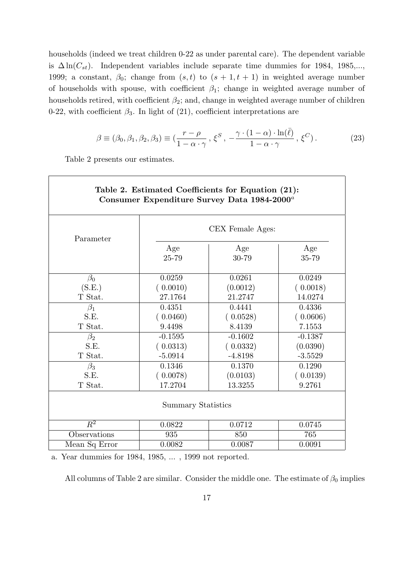households (indeed we treat children 0-22 as under parental care). The dependent variable is  $\Delta \ln(C_{st})$ . Independent variables include separate time dummies for 1984, 1985,..., 1999; a constant,  $\beta_0$ ; change from  $(s, t)$  to  $(s + 1, t + 1)$  in weighted average number of households with spouse, with coefficient  $\beta_1$ ; change in weighted average number of households retired, with coefficient  $\beta_2$ ; and, change in weighted average number of children 0-22, with coefficient  $\beta_3$ . In light of (21), coefficient interpretations are

$$
\beta \equiv (\beta_0, \beta_1, \beta_2, \beta_3) \equiv \left(\frac{r-\rho}{1-\alpha \cdot \gamma}, \xi^S, -\frac{\gamma \cdot (1-\alpha) \cdot \ln(\bar{\ell})}{1-\alpha \cdot \gamma}, \xi^C\right). \tag{23}
$$

Table 2 presents our estimates.

|                     | Table 2. Estimated Coefficients for Equation (21):<br>Consumer Expenditure Survey Data 1984-2000 <sup>a</sup> |              |              |
|---------------------|---------------------------------------------------------------------------------------------------------------|--------------|--------------|
| Parameter           | CEX Female Ages:                                                                                              |              |              |
|                     | Age<br>25-79                                                                                                  | Age<br>30-79 | Age<br>35-79 |
| $\beta_0$           | 0.0259                                                                                                        | 0.0261       | 0.0249       |
| (S.E.)              | (0.0010)                                                                                                      | (0.0012)     | (0.0018)     |
| T Stat.             | 27.1764                                                                                                       | 21.2747      | 14.0274      |
| $\beta_1$           | 0.4351                                                                                                        | 0.4441       | 0.4336       |
| S.E.                | (0.0460)                                                                                                      | (0.0528)     | (0.0606)     |
| T Stat.             | 9.4498                                                                                                        | 8.4139       | 7.1553       |
| $\beta_2$           | $-0.1595$                                                                                                     | $-0.1602$    | $-0.1387$    |
| S.E.                | (0.0313)                                                                                                      | (0.0332)     | (0.0390)     |
| T Stat.             | $-5.0914$                                                                                                     | $-4.8198$    | $-3.5529$    |
| $\beta_3$           | 0.1346                                                                                                        | 0.1370       | 0.1290       |
| S.E.                | (0.0078)                                                                                                      | (0.0103)     | (0.0139)     |
| T Stat.             | 17.2704                                                                                                       | 13.3255      | 9.2761       |
|                     | <b>Summary Statistics</b>                                                                                     |              |              |
| $\overline{R^2}$    | 0.0822                                                                                                        | 0.0712       | 0.0745       |
| <b>Observations</b> | 935                                                                                                           | 850          | 765          |
| Mean Sq Error       | 0.0082                                                                                                        | 0.0087       | 0.0091       |

a. Year dummies for 1984, 1985, ... , 1999 not reported.

All columns of Table 2 are similar. Consider the middle one. The estimate of  $\beta_0$  implies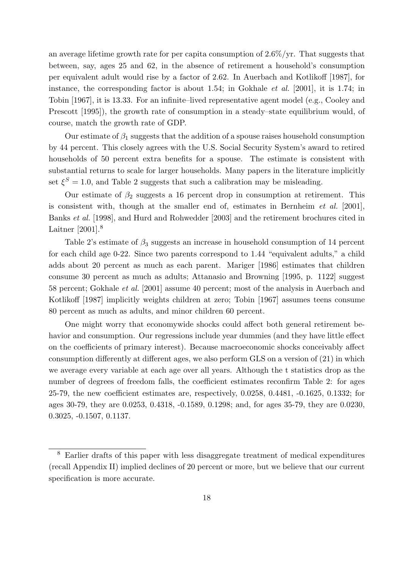an average lifetime growth rate for per capita consumption of 2.6%/yr. That suggests that between, say, ages 25 and 62, in the absence of retirement a household's consumption per equivalent adult would rise by a factor of 2.62. In Auerbach and Kotlikoff [1987], for instance, the corresponding factor is about 1.54; in Gokhale *et al.* [2001], it is 1.74; in Tobin [1967], it is 13.33. For an infinite–lived representative agent model (e.g., Cooley and Prescott [1995]), the growth rate of consumption in a steady–state equilibrium would, of course, match the growth rate of GDP.

Our estimate of  $\beta_1$  suggests that the addition of a spouse raises household consumption by 44 percent. This closely agrees with the U.S. Social Security System's award to retired households of 50 percent extra benefits for a spouse. The estimate is consistent with substantial returns to scale for larger households. Many papers in the literature implicitly set  $\xi^S = 1.0$ , and Table 2 suggests that such a calibration may be misleading.

Our estimate of  $\beta_2$  suggests a 16 percent drop in consumption at retirement. This is consistent with, though at the smaller end of, estimates in Bernheim et al. [2001], Banks et al. [1998], and Hurd and Rohwedder [2003] and the retirement brochures cited in Laitner [2001].<sup>8</sup>

Table 2's estimate of  $\beta_3$  suggests an increase in household consumption of 14 percent for each child age 0-22. Since two parents correspond to 1.44 "equivalent adults," a child adds about 20 percent as much as each parent. Mariger [1986] estimates that children consume 30 percent as much as adults; Attanasio and Browning [1995, p. 1122] suggest 58 percent; Gokhale et al. [2001] assume 40 percent; most of the analysis in Auerbach and Kotlikoff [1987] implicitly weights children at zero; Tobin [1967] assumes teens consume 80 percent as much as adults, and minor children 60 percent.

One might worry that economywide shocks could affect both general retirement behavior and consumption. Our regressions include year dummies (and they have little effect on the coefficients of primary interest). Because macroeconomic shocks conceivably affect consumption differently at different ages, we also perform GLS on a version of (21) in which we average every variable at each age over all years. Although the t statistics drop as the number of degrees of freedom falls, the coefficient estimates reconfirm Table 2: for ages 25-79, the new coefficient estimates are, respectively, 0.0258, 0.4481, -0.1625, 0.1332; for ages 30-79, they are 0.0253, 0.4318, -0.1589, 0.1298; and, for ages 35-79, they are 0.0230, 0.3025, -0.1507, 0.1137.

<sup>8</sup> Earlier drafts of this paper with less disaggregate treatment of medical expenditures (recall Appendix II) implied declines of 20 percent or more, but we believe that our current specification is more accurate.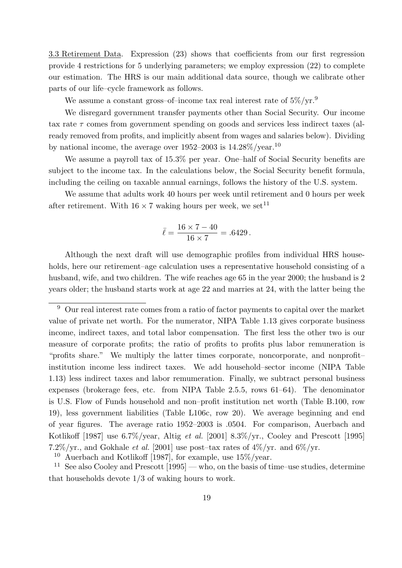3.3 Retirement Data. Expression (23) shows that coefficients from our first regression provide 4 restrictions for 5 underlying parameters; we employ expression (22) to complete our estimation. The HRS is our main additional data source, though we calibrate other parts of our life–cycle framework as follows.

We assume a constant gross–of–income tax real interest rate of  $5\%/yr.^9$ 

We disregard government transfer payments other than Social Security. Our income tax rate  $\tau$  comes from government spending on goods and services less indirect taxes (already removed from profits, and implicitly absent from wages and salaries below). Dividing by national income, the average over 1952–2003 is  $14.28\%$ /year.<sup>10</sup>

We assume a payroll tax of  $15.3\%$  per year. One–half of Social Security benefits are subject to the income tax. In the calculations below, the Social Security benefit formula, including the ceiling on taxable annual earnings, follows the history of the U.S. system.

We assume that adults work 40 hours per week until retirement and 0 hours per week after retirement. With  $16 \times 7$  waking hours per week, we set<sup>11</sup>

$$
\bar{\ell} = \frac{16 \times 7 - 40}{16 \times 7} = .6429.
$$

Although the next draft will use demographic profiles from individual HRS households, here our retirement–age calculation uses a representative household consisting of a husband, wife, and two children. The wife reaches age 65 in the year 2000; the husband is 2 years older; the husband starts work at age 22 and marries at 24, with the latter being the

 $9$  Our real interest rate comes from a ratio of factor payments to capital over the market value of private net worth. For the numerator, NIPA Table 1.13 gives corporate business income, indirect taxes, and total labor compensation. The first less the other two is our measure of corporate profits; the ratio of profits to profits plus labor remuneration is "profits share." We multiply the latter times corporate, noncorporate, and nonprofit– institution income less indirect taxes. We add household–sector income (NIPA Table 1.13) less indirect taxes and labor remumeration. Finally, we subtract personal business expenses (brokerage fees, etc. from NIPA Table 2.5.5, rows 61–64). The denominator is U.S. Flow of Funds household and non–profit institution net worth (Table B.100, row 19), less government liabilities (Table L106c, row 20). We average beginning and end of year figures. The average ratio 1952–2003 is .0504. For comparison, Auerbach and Kotlikoff [1987] use 6.7%/year, Altig et al. [2001] 8.3%/yr., Cooley and Prescott [1995] 7.2%/yr., and Gokhale *et al.* [2001] use post-tax rates of  $4\frac{\sqrt{9}}{\sqrt{7}}$ . and  $6\frac{\sqrt{9}}{\sqrt{7}}$ .

<sup>&</sup>lt;sup>10</sup> Auerbach and Kotlikoff [1987], for example, use  $15\%$ /year.

<sup>&</sup>lt;sup>11</sup> See also Cooley and Prescott  $[1995]$  — who, on the basis of time–use studies, determine that households devote 1/3 of waking hours to work.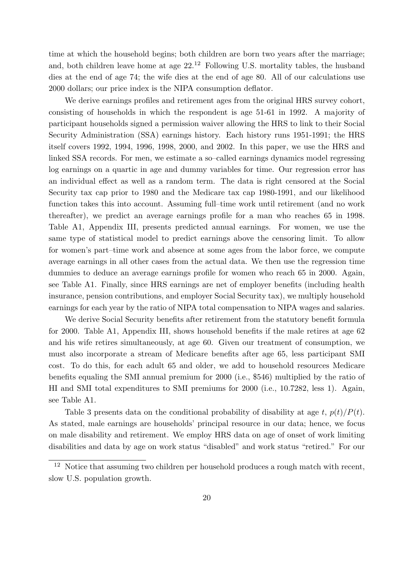time at which the household begins; both children are born two years after the marriage; and, both children leave home at age  $22^{12}$  Following U.S. mortality tables, the husband dies at the end of age 74; the wife dies at the end of age 80. All of our calculations use 2000 dollars; our price index is the NIPA consumption deflator.

We derive earnings profiles and retirement ages from the original HRS survey cohort, consisting of households in which the respondent is age 51-61 in 1992. A majority of participant households signed a permission waiver allowing the HRS to link to their Social Security Administration (SSA) earnings history. Each history runs 1951-1991; the HRS itself covers 1992, 1994, 1996, 1998, 2000, and 2002. In this paper, we use the HRS and linked SSA records. For men, we estimate a so–called earnings dynamics model regressing log earnings on a quartic in age and dummy variables for time. Our regression error has an individual effect as well as a random term. The data is right censored at the Social Security tax cap prior to 1980 and the Medicare tax cap 1980-1991, and our likelihood function takes this into account. Assuming full–time work until retirement (and no work thereafter), we predict an average earnings profile for a man who reaches 65 in 1998. Table A1, Appendix III, presents predicted annual earnings. For women, we use the same type of statistical model to predict earnings above the censoring limit. To allow for women's part–time work and absence at some ages from the labor force, we compute average earnings in all other cases from the actual data. We then use the regression time dummies to deduce an average earnings profile for women who reach 65 in 2000. Again, see Table A1. Finally, since HRS earnings are net of employer benefits (including health insurance, pension contributions, and employer Social Security tax), we multiply household earnings for each year by the ratio of NIPA total compensation to NIPA wages and salaries.

We derive Social Security benefits after retirement from the statutory benefit formula for 2000. Table A1, Appendix III, shows household benefits if the male retires at age 62 and his wife retires simultaneously, at age 60. Given our treatment of consumption, we must also incorporate a stream of Medicare benefits after age 65, less participant SMI cost. To do this, for each adult 65 and older, we add to household resources Medicare benefits equaling the SMI annual premium for 2000 (i.e., \$546) multiplied by the ratio of HI and SMI total expenditures to SMI premiums for 2000 (i.e., 10.7282, less 1). Again, see Table A1.

Table 3 presents data on the conditional probability of disability at age t,  $p(t)/P(t)$ . As stated, male earnings are households' principal resource in our data; hence, we focus on male disability and retirement. We employ HRS data on age of onset of work limiting disabilities and data by age on work status "disabled" and work status "retired." For our

<sup>&</sup>lt;sup>12</sup> Notice that assuming two children per household produces a rough match with recent, slow U.S. population growth.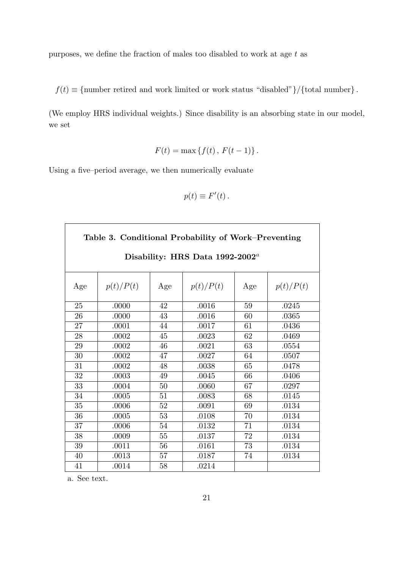purposes, we define the fraction of males too disabled to work at age  $t$  as

 $f(t) \equiv \{\text{number retired and work limited or work status "disabeled"}\}/\{\text{total number}\}.$ 

(We employ HRS individual weights.) Since disability is an absorbing state in our model, we set

$$
F(t) = \max \{ f(t), F(t-1) \}.
$$

Using a five–period average, we then numerically evaluate

$$
p(t) \equiv F'(t) \, .
$$

Ē

|     | Table 3. Conditional Probability of Work-Preventing |     |           |     |           |
|-----|-----------------------------------------------------|-----|-----------|-----|-----------|
|     | Disability: HRS Data 1992-2002 <sup>a</sup>         |     |           |     |           |
| Age | p(t)/P(t)                                           | Age | p(t)/P(t) | Age | p(t)/P(t) |
| 25  | .0000                                               | 42  | .0016     | 59  | .0245     |
| 26  | .0000                                               | 43  | .0016     | 60  | .0365     |
| 27  | .0001                                               | 44  | .0017     | 61  | .0436     |
| 28  | .0002                                               | 45  | .0023     | 62  | .0469     |
| 29  | .0002                                               | 46  | .0021     | 63  | .0554     |
| 30  | .0002                                               | 47  | .0027     | 64  | .0507     |
| 31  | .0002                                               | 48  | .0038     | 65  | .0478     |
| 32  | .0003                                               | 49  | .0045     | 66  | .0406     |
| 33  | .0004                                               | 50  | .0060     | 67  | .0297     |
| 34  | .0005                                               | 51  | .0083     | 68  | .0145     |
| 35  | .0006                                               | 52  | .0091     | 69  | .0134     |
| 36  | .0005                                               | 53  | .0108     | 70  | .0134     |
| 37  | .0006                                               | 54  | .0132     | 71  | .0134     |
| 38  | .0009                                               | 55  | .0137     | 72  | .0134     |
| 39  | .0011                                               | 56  | .0161     | 73  | .0134     |
| 40  | .0013                                               | 57  | .0187     | 74  | .0134     |
| 41  | .0014                                               | 58  | .0214     |     |           |

a. See text.

 $\overline{1}$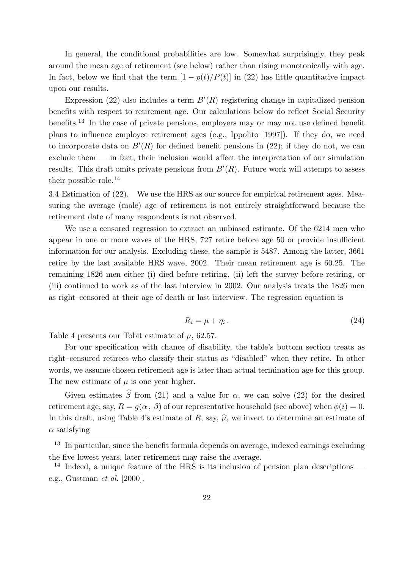In general, the conditional probabilities are low. Somewhat surprisingly, they peak around the mean age of retirement (see below) rather than rising monotonically with age. In fact, below we find that the term  $[1 - p(t)/P(t)]$  in (22) has little quantitative impact upon our results.

Expression (22) also includes a term  $B'(R)$  registering change in capitalized pension benefits with respect to retirement age. Our calculations below do reflect Social Security benefits.<sup>13</sup> In the case of private pensions, employers may or may not use defined benefit plans to influence employee retirement ages (e.g., Ippolito [1997]). If they do, we need to incorporate data on  $B'(R)$  for defined benefit pensions in (22); if they do not, we can exclude them  $\overline{\phantom{a}}$  in fact, their inclusion would affect the interpretation of our simulation results. This draft omits private pensions from  $B'(R)$ . Future work will attempt to assess their possible role.<sup>14</sup>

3.4 Estimation of (22). We use the HRS as our source for empirical retirement ages. Measuring the average (male) age of retirement is not entirely straightforward because the retirement date of many respondents is not observed.

We use a censored regression to extract an unbiased estimate. Of the 6214 men who appear in one or more waves of the HRS, 727 retire before age 50 or provide insufficient information for our analysis. Excluding these, the sample is 5487. Among the latter, 3661 retire by the last available HRS wave, 2002. Their mean retirement age is 60.25. The remaining 1826 men either (i) died before retiring, (ii) left the survey before retiring, or (iii) continued to work as of the last interview in 2002. Our analysis treats the 1826 men as right–censored at their age of death or last interview. The regression equation is

$$
R_i = \mu + \eta_i \,. \tag{24}
$$

Table 4 presents our Tobit estimate of  $\mu$ , 62.57.

For our specification with chance of disability, the table's bottom section treats as right–censured retirees who classify their status as "disabled" when they retire. In other words, we assume chosen retirement age is later than actual termination age for this group. The new estimate of  $\mu$  is one year higher.

Given estimates  $\hat{\beta}$  from (21) and a value for  $\alpha$ , we can solve (22) for the desired retirement age, say,  $R = g(\alpha, \beta)$  of our representative household (see above) when  $\phi(i) = 0$ . In this draft, using Table 4's estimate of R, say,  $\hat{\mu}$ , we invert to determine an estimate of  $\alpha$  satisfying

<sup>13</sup> In particular, since the benefit formula depends on average, indexed earnings excluding the five lowest years, later retirement may raise the average.

<sup>&</sup>lt;sup>14</sup> Indeed, a unique feature of the HRS is its inclusion of pension plan descriptions  $$ e.g., Gustman et al. [2000].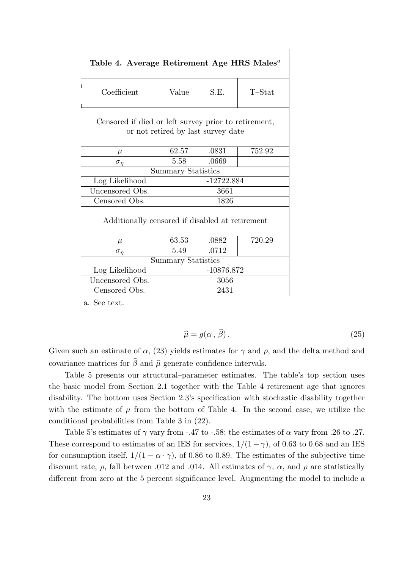| Table 4. Average Retirement Age HRS Males <sup><math>a</math></sup>                        |                           |       |           |
|--------------------------------------------------------------------------------------------|---------------------------|-------|-----------|
| Coefficient                                                                                | Value                     | S.E.  | $T$ -Stat |
| Censored if died or left survey prior to retirement,<br>or not retired by last survey date |                           |       |           |
| $\mu$                                                                                      | 62.57                     | .0831 | 752.92    |
| $\sigma_{\eta}$                                                                            | 5.58                      | .0669 |           |
|                                                                                            | <b>Summary Statistics</b> |       |           |
| Log Likelihood                                                                             | $-12722.884$              |       |           |
| Uncensored Obs.                                                                            | 3661                      |       |           |
| Censored Obs.                                                                              | 1826                      |       |           |
| Additionally censored if disabled at retirement                                            |                           |       |           |
| $\mu$                                                                                      | 63.53                     | .0882 | 720.29    |
| $\sigma_n$                                                                                 | 5.49                      | .0712 |           |
| <b>Summary Statistics</b>                                                                  |                           |       |           |
| Log Likelihood                                                                             | $-10876.872$              |       |           |
| Uncensored Obs.                                                                            | 3056                      |       |           |
| Censored Obs.                                                                              | 2431                      |       |           |

a. See text.

$$
\widehat{\mu} = g(\alpha \,,\,\widehat{\beta})\,. \tag{25}
$$

Given such an estimate of  $\alpha$ , (23) yields estimates for  $\gamma$  and  $\rho$ , and the delta method and covariance matrices for  $\widehat{\beta}$  and  $\widehat{\mu}$  generate confidence intervals.

Table 5 presents our structural–parameter estimates. The table's top section uses the basic model from Section 2.1 together with the Table 4 retirement age that ignores disability. The bottom uses Section 2.3's specification with stochastic disability together with the estimate of  $\mu$  from the bottom of Table 4. In the second case, we utilize the conditional probabilities from Table 3 in (22).

Table 5's estimates of  $\gamma$  vary from -.47 to -.58; the estimates of  $\alpha$  vary from .26 to .27. These correspond to estimates of an IES for services,  $1/(1 - \gamma)$ , of 0.63 to 0.68 and an IES for consumption itself,  $1/(1 - \alpha \cdot \gamma)$ , of 0.86 to 0.89. The estimates of the subjective time discount rate,  $\rho$ , fall between .012 and .014. All estimates of  $\gamma$ ,  $\alpha$ , and  $\rho$  are statistically different from zero at the 5 percent significance level. Augmenting the model to include a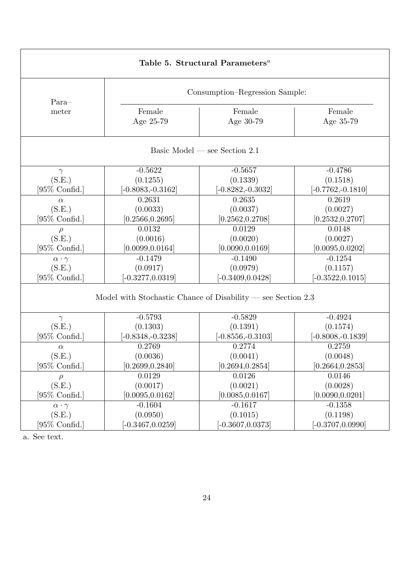| Table 5. Structural Parameters <sup>a</sup>                  |                                |                      |                      |  |  |  |
|--------------------------------------------------------------|--------------------------------|----------------------|----------------------|--|--|--|
| $Para-$                                                      | Consumption–Regression Sample: |                      |                      |  |  |  |
| meter                                                        | Female<br>Age 25-79            | Female<br>Age 30-79  | Female<br>Age 35-79  |  |  |  |
|                                                              | Basic Model — see Section 2.1  |                      |                      |  |  |  |
| $\gamma$                                                     | $-0.5622$                      | $-0.5657$            | $-0.4786$            |  |  |  |
| (S.E.)                                                       | (0.1255)                       | (0.1339)             | (0.1518)             |  |  |  |
| $[95\%$ Confid.]                                             | $[-0.8083, -0.3162]$           | $[-0.8282, -0.3032]$ | $[-0.7762, -0.1810]$ |  |  |  |
| $\alpha$                                                     | 0.2631                         | 0.2635               | 0.2619               |  |  |  |
| (S.E.)                                                       | (0.0033)                       | (0.0037)             | (0.0027)             |  |  |  |
| $[95\% \text{ Confid.}]$                                     | $\left[0.2566,\!0.2695\right]$ | [0.2562, 0.2708]     | [0.2532, 0.2707]     |  |  |  |
| $\rho$                                                       | 0.0132                         | 0.0129               | 0.0148               |  |  |  |
| (S.E.)                                                       | (0.0016)                       | (0.0020)             | (0.0027)             |  |  |  |
| $[95\% \text{ Confid.}]$                                     | [0.0099, 0.0164]               | [0.0090, 0.0169]     | [0.0095, 0.0202]     |  |  |  |
| $\alpha \cdot \gamma$                                        | $-0.1479$                      | $-0.1490$            | $-0.1254$            |  |  |  |
| (S.E.)                                                       | (0.0917)                       | (0.0979)             | (0.1157)             |  |  |  |
| $[95\% \text{ Confid.}]$                                     | $[-0.3277, 0.0319]$            | $-0.3409, 0.0428]$   | $[-0.3522, 0.1015]$  |  |  |  |
| Model with Stochastic Chance of Disability — see Section 2.3 |                                |                      |                      |  |  |  |
| $\gamma$                                                     | $-0.5793$                      | $-0.5829$            | $-0.4924$            |  |  |  |
| (S.E.)                                                       | (0.1303)                       | (0.1391)             | (0.1574)             |  |  |  |
| [95% Confid.]                                                | $-0.8348,-0.3238$              | $-0.8556,-0.3103$    | $[-0.8008, -0.1839]$ |  |  |  |
| $\alpha$                                                     | 0.2769                         | 0.2774               | 0.2759               |  |  |  |
| (S.E.)                                                       | (0.0036)                       | (0.0041)             | (0.0048)             |  |  |  |
| $[95\% \text{ Confid.}]$                                     | [0.2699, 0.2840]               | [0.2694, 0.2854]     | $[0.2664,\!0.2853]$  |  |  |  |
| $\rho$                                                       | 0.0129                         | 0.0126               | 0.0146               |  |  |  |
| (S.E.)                                                       | (0.0017)                       | (0.0021)             | (0.0028)             |  |  |  |
| $[95\% \text{ Confid.}]$                                     | [0.0095, 0.0162]               | [0.0085, 0.0167]     | [0.0090, 0.0201]     |  |  |  |
| $\alpha \cdot \gamma$                                        | $-0.1604$                      | $-0.1617$            | $-0.1358$            |  |  |  |
| (S.E.)                                                       | (0.0950)                       | (0.1015)             | (0.1198)             |  |  |  |
| $[95\% \text{ Confid.}]$                                     | $[-0.3467, 0.0259]$            | $-0.3607, 0.0373]$   | $[-0.3707, 0.0990]$  |  |  |  |

a. See text.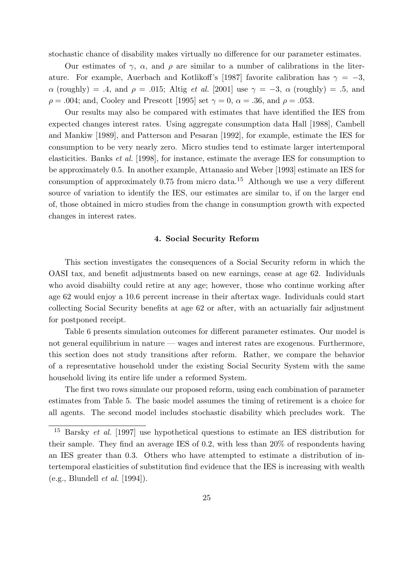stochastic chance of disability makes virtually no difference for our parameter estimates.

Our estimates of  $\gamma$ ,  $\alpha$ , and  $\rho$  are similar to a number of calibrations in the literature. For example, Auerbach and Kotlikoff's [1987] favorite calibration has  $\gamma = -3$ ,  $\alpha$  (roughly) = .4, and  $\rho = .015$ ; Altig *et al.* [2001] use  $\gamma = -3$ ,  $\alpha$  (roughly) = .5, and  $\rho = .004$ ; and, Cooley and Prescott [1995] set  $\gamma = 0$ ,  $\alpha = .36$ , and  $\rho = .053$ .

Our results may also be compared with estimates that have identified the IES from expected changes interest rates. Using aggregate consumption data Hall [1988], Cambell and Mankiw [1989], and Patterson and Pesaran [1992], for example, estimate the IES for consumption to be very nearly zero. Micro studies tend to estimate larger intertemporal elasticities. Banks et al. [1998], for instance, estimate the average IES for consumption to be approximately 0.5. In another example, Attanasio and Weber [1993] estimate an IES for consumption of approximately  $0.75$  from micro data.<sup>15</sup> Although we use a very different source of variation to identify the IES, our estimates are similar to, if on the larger end of, those obtained in micro studies from the change in consumption growth with expected changes in interest rates.

## 4. Social Security Reform

This section investigates the consequences of a Social Security reform in which the OASI tax, and benefit adjustments based on new earnings, cease at age 62. Individuals who avoid disabiilty could retire at any age; however, those who continue working after age 62 would enjoy a 10.6 percent increase in their aftertax wage. Individuals could start collecting Social Security benefits at age 62 or after, with an actuarially fair adjustment for postponed receipt.

Table 6 presents simulation outcomes for different parameter estimates. Our model is not general equilibrium in nature — wages and interest rates are exogenous. Furthermore, this section does not study transitions after reform. Rather, we compare the behavior of a representative household under the existing Social Security System with the same household living its entire life under a reformed System.

The first two rows simulate our proposed reform, using each combination of parameter estimates from Table 5. The basic model assumes the timing of retirement is a choice for all agents. The second model includes stochastic disability which precludes work. The

<sup>15</sup> Barsky et al. [1997] use hypothetical questions to estimate an IES distribution for their sample. They find an average IES of 0.2, with less than 20% of respondents having an IES greater than 0.3. Others who have attempted to estimate a distribution of intertemporal elasticities of substitution find evidence that the IES is increasing with wealth (e.g., Blundell et al. [1994]).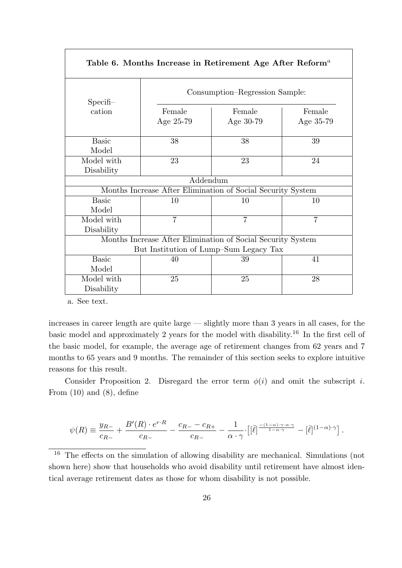| Table 6. Months Increase in Retirement Age After Reform <sup><math>a</math></sup> |                                |                |                |  |
|-----------------------------------------------------------------------------------|--------------------------------|----------------|----------------|--|
| $Specifi-$                                                                        | Consumption-Regression Sample: |                |                |  |
| cation                                                                            | Female                         | Female         | Female         |  |
|                                                                                   | Age 25-79                      | Age 30-79      | Age 35-79      |  |
| <b>Basic</b>                                                                      | 38                             | 38             | 39             |  |
| Model                                                                             |                                |                |                |  |
| Model with                                                                        | 23                             | 23             | 24             |  |
| Disability                                                                        |                                |                |                |  |
| Addendum                                                                          |                                |                |                |  |
| Months Increase After Elimination of Social Security System                       |                                |                |                |  |
| <b>Basic</b>                                                                      | 10                             | 10             | 10             |  |
| Model                                                                             |                                |                |                |  |
| Model with                                                                        | $\overline{7}$                 | $\overline{7}$ | $\overline{7}$ |  |
| Disability                                                                        |                                |                |                |  |
| Months Increase After Elimination of Social Security System                       |                                |                |                |  |
| But Institution of Lump-Sum Legacy Tax                                            |                                |                |                |  |
| <b>Basic</b>                                                                      | 40                             | 39             | 41             |  |
| Model                                                                             |                                |                |                |  |
| Model with                                                                        | 25                             | 25             | 28             |  |
| Disability                                                                        |                                |                |                |  |

a. See text.

increases in career length are quite large — slightly more than 3 years in all cases, for the basic model and approximately 2 years for the model with disability.<sup>16</sup> In the first cell of the basic model, for example, the average age of retirement changes from 62 years and 7 months to 65 years and 9 months. The remainder of this section seeks to explore intuitive reasons for this result.

Consider Proposition 2. Disregard the error term  $\phi(i)$  and omit the subscript i. From  $(10)$  and  $(8)$ , define

$$
\psi(R) \equiv \frac{y_{R-}}{c_{R-}} + \frac{B'(R) \cdot e^{r \cdot R}}{c_{R-}} - \frac{c_{R-} - c_{R+}}{c_{R-}} - \frac{1}{\alpha \cdot \gamma} \cdot \left[ [\bar{\ell}]^{\frac{-(1-\alpha) \cdot \gamma \cdot \alpha \cdot \gamma}{1-\alpha \cdot \gamma}} - [\bar{\ell}]^{(1-\alpha) \cdot \gamma} \right].
$$

<sup>16</sup> The effects on the simulation of allowing disability are mechanical. Simulations (not shown here) show that households who avoid disability until retirement have almost identical average retirement dates as those for whom disability is not possible.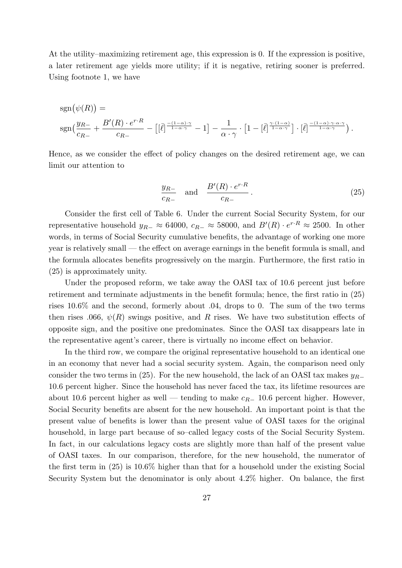At the utility–maximizing retirement age, this expression is 0. If the expression is positive, a later retirement age yields more utility; if it is negative, retiring sooner is preferred. Using footnote 1, we have

$$
sgn(\psi(R)) =
$$
  
\n
$$
sgn(\frac{y_{R-}}{c_{R-}} + \frac{B'(R) \cdot e^{r \cdot R}}{c_{R-}} - \left[ [\overline{\ell}]^{\frac{-(1-\alpha)\cdot \gamma}{1-\alpha\cdot \gamma}} - 1 \right] - \frac{1}{\alpha \cdot \gamma} \cdot \left[ 1 - [\overline{\ell}]^{\frac{\gamma \cdot (1-\alpha)}{1-\alpha\cdot \gamma}} \right] \cdot [\overline{\ell}]^{\frac{-(1-\alpha)\cdot \gamma \cdot \alpha\cdot \gamma}{1-\alpha\cdot \gamma}}.
$$

Hence, as we consider the effect of policy changes on the desired retirement age, we can limit our attention to

$$
\frac{y_{R-}}{c_{R-}} \quad \text{and} \quad \frac{B'(R) \cdot e^{r \cdot R}}{c_{R-}}.
$$
\n
$$
(25)
$$

Consider the first cell of Table 6. Under the current Social Security System, for our representative household  $y_{R-} \approx 64000$ ,  $c_{R-} \approx 58000$ , and  $B'(R) \cdot e^{r \cdot R} \approx 2500$ . In other words, in terms of Social Security cumulative benefits, the advantage of working one more year is relatively small — the effect on average earnings in the benefit formula is small, and the formula allocates benefits progressively on the margin. Furthermore, the first ratio in (25) is approximately unity.

Under the proposed reform, we take away the OASI tax of 10.6 percent just before retirement and terminate adjustments in the benefit formula; hence, the first ratio in (25) rises 10.6% and the second, formerly about .04, drops to 0. The sum of the two terms then rises .066,  $\psi(R)$  swings positive, and R rises. We have two substitution effects of opposite sign, and the positive one predominates. Since the OASI tax disappears late in the representative agent's career, there is virtually no income effect on behavior.

In the third row, we compare the original representative household to an identical one in an economy that never had a social security system. Again, the comparison need only consider the two terms in (25). For the new household, the lack of an OASI tax makes  $y_{R-}$ 10.6 percent higher. Since the household has never faced the tax, its lifetime resources are about 10.6 percent higher as well — tending to make  $c_{R-}$  10.6 percent higher. However, Social Security benefits are absent for the new household. An important point is that the present value of benefits is lower than the present value of OASI taxes for the original household, in large part because of so–called legacy costs of the Social Security System. In fact, in our calculations legacy costs are slightly more than half of the present value of OASI taxes. In our comparison, therefore, for the new household, the numerator of the first term in (25) is 10.6% higher than that for a household under the existing Social Security System but the denominator is only about 4.2% higher. On balance, the first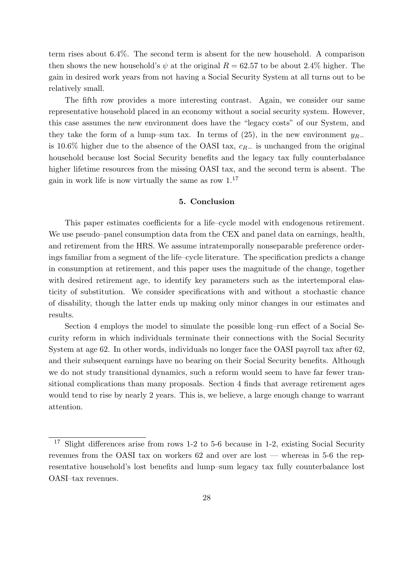term rises about 6.4%. The second term is absent for the new household. A comparison then shows the new household's  $\psi$  at the original  $R = 62.57$  to be about 2.4% higher. The gain in desired work years from not having a Social Security System at all turns out to be relatively small.

The fifth row provides a more interesting contrast. Again, we consider our same representative household placed in an economy without a social security system. However, this case assumes the new environment does have the "legacy costs" of our System, and they take the form of a lump–sum tax. In terms of  $(25)$ , in the new environment  $y_{R-}$ is 10.6% higher due to the absence of the OASI tax,  $c_{R-}$  is unchanged from the original household because lost Social Security benefits and the legacy tax fully counterbalance higher lifetime resources from the missing OASI tax, and the second term is absent. The gain in work life is now virtually the same as row  $1<sup>17</sup>$ 

## 5. Conclusion

This paper estimates coefficients for a life–cycle model with endogenous retirement. We use pseudo–panel consumption data from the CEX and panel data on earnings, health, and retirement from the HRS. We assume intratemporally nonseparable preference orderings familiar from a segment of the life–cycle literature. The specification predicts a change in consumption at retirement, and this paper uses the magnitude of the change, together with desired retirement age, to identify key parameters such as the intertemporal elasticity of substitution. We consider specifications with and without a stochastic chance of disability, though the latter ends up making only minor changes in our estimates and results.

Section 4 employs the model to simulate the possible long–run effect of a Social Security reform in which individuals terminate their connections with the Social Security System at age 62. In other words, individuals no longer face the OASI payroll tax after 62, and their subsequent earnings have no bearing on their Social Security benefits. Although we do not study transitional dynamics, such a reform would seem to have far fewer transitional complications than many proposals. Section 4 finds that average retirement ages would tend to rise by nearly 2 years. This is, we believe, a large enough change to warrant attention.

<sup>&</sup>lt;sup>17</sup> Slight differences arise from rows 1-2 to 5-6 because in 1-2, existing Social Security revenues from the OASI tax on workers 62 and over are lost — whereas in 5-6 the representative household's lost benefits and lump–sum legacy tax fully counterbalance lost OASI–tax revenues.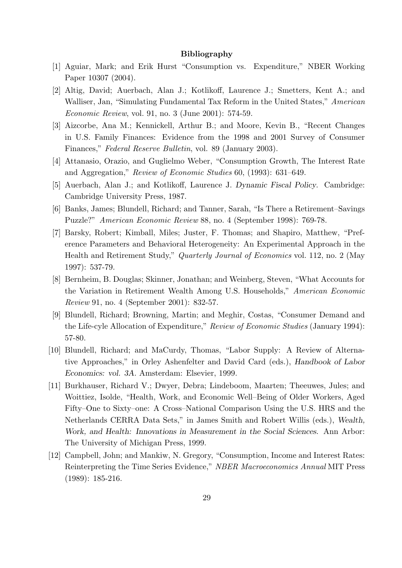## Bibliography

- [1] Aguiar, Mark; and Erik Hurst "Consumption vs. Expenditure," NBER Working Paper 10307 (2004).
- [2] Altig, David; Auerbach, Alan J.; Kotlikoff, Laurence J.; Smetters, Kent A.; and Walliser, Jan, "Simulating Fundamental Tax Reform in the United States," American Economic Review, vol. 91, no. 3 (June 2001): 574-59.
- [3] Aizcorbe, Ana M.; Kennickell, Arthur B.; and Moore, Kevin B., "Recent Changes in U.S. Family Finances: Evidence from the 1998 and 2001 Survey of Consumer Finances," Federal Reserve Bulletin, vol. 89 (January 2003).
- [4] Attanasio, Orazio, and Guglielmo Weber, "Consumption Growth, The Interest Rate and Aggregation," Review of Economic Studies 60, (1993): 631–649.
- [5] Auerbach, Alan J.; and Kotlikoff, Laurence J. Dynamic Fiscal Policy. Cambridge: Cambridge University Press, 1987.
- [6] Banks, James; Blundell, Richard; and Tanner, Sarah, "Is There a Retirement–Savings Puzzle?" American Economic Review 88, no. 4 (September 1998): 769-78.
- [7] Barsky, Robert; Kimball, Miles; Juster, F. Thomas; and Shapiro, Matthew, "Preference Parameters and Behavioral Heterogeneity: An Experimental Approach in the Health and Retirement Study," Quarterly Journal of Economics vol. 112, no. 2 (May 1997): 537-79.
- [8] Bernheim, B. Douglas; Skinner, Jonathan; and Weinberg, Steven, "What Accounts for the Variation in Retirement Wealth Among U.S. Households," American Economic Review 91, no. 4 (September 2001): 832-57.
- [9] Blundell, Richard; Browning, Martin; and Meghir, Costas, "Consumer Demand and the Life-cyle Allocation of Expenditure," Review of Economic Studies (January 1994): 57-80.
- [10] Blundell, Richard; and MaCurdy, Thomas, "Labor Supply: A Review of Alternative Approaches," in Orley Ashenfelter and David Card (eds.), Handbook of Labor Economics: vol. 3A. Amsterdam: Elsevier, 1999.
- [11] Burkhauser, Richard V.; Dwyer, Debra; Lindeboom, Maarten; Theeuwes, Jules; and Woittiez, Isolde, "Health, Work, and Economic Well–Being of Older Workers, Aged Fifty–One to Sixty–one: A Cross–National Comparison Using the U.S. HRS and the Netherlands CERRA Data Sets," in James Smith and Robert Willis (eds.), Wealth, Work, and Health: Innovations in Measurement in the Social Sciences. Ann Arbor: The University of Michigan Press, 1999.
- [12] Campbell, John; and Mankiw, N. Gregory, "Consumption, Income and Interest Rates: Reinterpreting the Time Series Evidence," NBER Macroeconomics Annual MIT Press (1989): 185-216.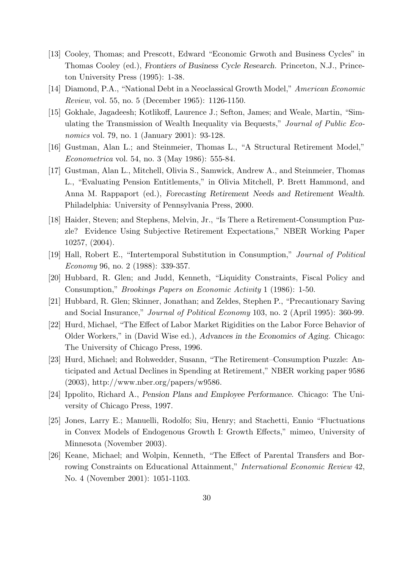- [13] Cooley, Thomas; and Prescott, Edward "Economic Grwoth and Business Cycles" in Thomas Cooley (ed.), Frontiers of Business Cycle Research. Princeton, N.J., Princeton University Press (1995): 1-38.
- [14] Diamond, P.A., "National Debt in a Neoclassical Growth Model," American Economic Review, vol. 55, no. 5 (December 1965): 1126-1150.
- [15] Gokhale, Jagadeesh; Kotlikoff, Laurence J.; Sefton, James; and Weale, Martin, "Simulating the Transmission of Wealth Inequality via Bequests," Journal of Public Economics vol. 79, no. 1 (January 2001): 93-128.
- [16] Gustman, Alan L.; and Steinmeier, Thomas L., "A Structural Retirement Model," Econometrica vol. 54, no. 3 (May 1986): 555-84.
- [17] Gustman, Alan L., Mitchell, Olivia S., Samwick, Andrew A., and Steinmeier, Thomas L., "Evaluating Pension Entitlements," in Olivia Mitchell, P. Brett Hammond, and Anna M. Rappaport (ed.), Forecasting Retirement Needs and Retirement Wealth. Philadelphia: University of Pennsylvania Press, 2000.
- [18] Haider, Steven; and Stephens, Melvin, Jr., "Is There a Retirement-Consumption Puzzle? Evidence Using Subjective Retirement Expectations," NBER Working Paper 10257, (2004).
- [19] Hall, Robert E., "Intertemporal Substitution in Consumption," Journal of Political Economy 96, no. 2 (1988): 339-357.
- [20] Hubbard, R. Glen; and Judd, Kenneth, "Liquidity Constraints, Fiscal Policy and Consumption," Brookings Papers on Economic Activity 1 (1986): 1-50.
- [21] Hubbard, R. Glen; Skinner, Jonathan; and Zeldes, Stephen P., "Precautionary Saving and Social Insurance," Journal of Political Economy 103, no. 2 (April 1995): 360-99.
- [22] Hurd, Michael, "The Effect of Labor Market Rigidities on the Labor Force Behavior of Older Workers," in (David Wise ed.), Advances in the Economics of Aging. Chicago: The University of Chicago Press, 1996.
- [23] Hurd, Michael; and Rohwedder, Susann, "The Retirement–Consumption Puzzle: Anticipated and Actual Declines in Spending at Retirement," NBER working paper 9586 (2003), http://www.nber.org/papers/w9586.
- [24] Ippolito, Richard A., Pension Plans and Employee Performance. Chicago: The University of Chicago Press, 1997.
- [25] Jones, Larry E.; Manuelli, Rodolfo; Siu, Henry; and Stachetti, Ennio "Fluctuations in Convex Models of Endogenous Growth I: Growth Effects," mimeo, University of Minnesota (November 2003).
- [26] Keane, Michael; and Wolpin, Kenneth, "The Effect of Parental Transfers and Borrowing Constraints on Educational Attainment," International Economic Review 42, No. 4 (November 2001): 1051-1103.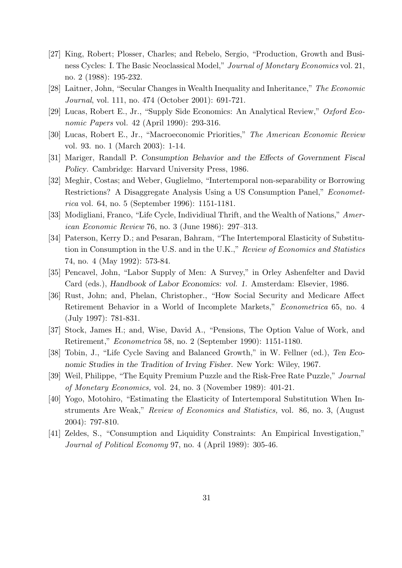- [27] King, Robert; Plosser, Charles; and Rebelo, Sergio, "Production, Growth and Business Cycles: I. The Basic Neoclassical Model," Journal of Monetary Economics vol. 21, no. 2 (1988): 195-232.
- [28] Laitner, John, "Secular Changes in Wealth Inequality and Inheritance," The Economic Journal, vol. 111, no. 474 (October 2001): 691-721.
- [29] Lucas, Robert E., Jr., "Supply Side Economics: An Analytical Review," Oxford Economic Papers vol. 42 (April 1990): 293-316.
- [30] Lucas, Robert E., Jr., "Macroeconomic Priorities," The American Economic Review vol. 93. no. 1 (March 2003): 1-14.
- [31] Mariger, Randall P. Consumption Behavior and the Effects of Government Fiscal Policy. Cambridge: Harvard University Press, 1986.
- [32] Meghir, Costas; and Weber, Guglielmo, "Intertemporal non-separability or Borrowing Restrictions? A Disaggregate Analysis Using a US Consumption Panel," Econometrica vol. 64, no. 5 (September 1996): 1151-1181.
- [33] Modigliani, Franco, "Life Cycle, Individiual Thrift, and the Wealth of Nations," American Economic Review 76, no. 3 (June 1986): 297–313.
- [34] Paterson, Kerry D.; and Pesaran, Bahram, "The Intertemporal Elasticity of Substitution in Consumption in the U.S. and in the U.K.," Review of Economics and Statistics 74, no. 4 (May 1992): 573-84.
- [35] Pencavel, John, "Labor Supply of Men: A Survey," in Orley Ashenfelter and David Card (eds.), Handbook of Labor Economics: vol. 1. Amsterdam: Elsevier, 1986.
- [36] Rust, John; and, Phelan, Christopher., "How Social Security and Medicare Affect Retirement Behavior in a World of Incomplete Markets," Econometrica 65, no. 4 (July 1997): 781-831.
- [37] Stock, James H.; and, Wise, David A., "Pensions, The Option Value of Work, and Retirement," Econometrica 58, no. 2 (September 1990): 1151-1180.
- [38] Tobin, J., "Life Cycle Saving and Balanced Growth," in W. Fellner (ed.), Ten Economic Studies in the Tradition of Irving Fisher. New York: Wiley, 1967.
- [39] Weil, Philippe, "The Equity Premium Puzzle and the Risk-Free Rate Puzzle," Journal of Monetary Economics, vol. 24, no. 3 (November 1989): 401-21.
- [40] Yogo, Motohiro, "Estimating the Elasticity of Intertemporal Substitution When Instruments Are Weak," Review of Economics and Statistics, vol. 86, no. 3, (August 2004): 797-810.
- [41] Zeldes, S., "Consumption and Liquidity Constraints: An Empirical Investigation," Journal of Political Economy 97, no. 4 (April 1989): 305-46.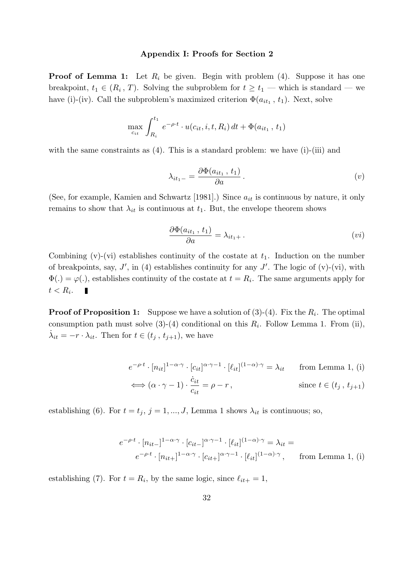#### Appendix I: Proofs for Section 2

**Proof of Lemma 1:** Let  $R_i$  be given. Begin with problem (4). Suppose it has one breakpoint,  $t_1 \in (R_i, T)$ . Solving the subproblem for  $t \geq t_1$  — which is standard — we have (i)-(iv). Call the subproblem's maximized criterion  $\Phi(a_{it_1}, t_1)$ . Next, solve

$$
\max_{c_{it}} \int_{R_i}^{t_1} e^{-\rho \cdot t} \cdot u(c_{it}, i, t, R_i) dt + \Phi(a_{it_1}, t_1)
$$

with the same constraints as (4). This is a standard problem: we have (i)-(iii) and

$$
\lambda_{it_1-} = \frac{\partial \Phi(a_{it_1}, t_1)}{\partial a} \,. \tag{v}
$$

(See, for example, Kamien and Schwartz [1981].) Since  $a_{it}$  is continuous by nature, it only remains to show that  $\lambda_{it}$  is continuous at  $t_1$ . But, the envelope theorem shows

$$
\frac{\partial \Phi(a_{it_1}, t_1)}{\partial a} = \lambda_{it_1+}.
$$
 (vi)

Combining (v)-(vi) establishes continuity of the costate at  $t_1$ . Induction on the number of breakpoints, say,  $J'$ , in (4) establishes continuity for any  $J'$ . The logic of (v)-(vi), with  $\Phi(.) = \varphi(.)$ , establishes continuity of the costate at  $t = R_i$ . The same arguments apply for  $t < R_i$ . п

**Proof of Proposition 1:** Suppose we have a solution of  $(3)-(4)$ . Fix the  $R_i$ . The optimal consumption path must solve  $(3)-(4)$  conditional on this  $R_i$ . Follow Lemma 1. From (ii),  $\dot{\lambda}_{it} = -r \cdot \lambda_{it}$ . Then for  $t \in (t_j, t_{j+1}),$  we have

$$
e^{-\rho \cdot t} \cdot [n_{it}]^{1-\alpha \cdot \gamma} \cdot [c_{it}]^{\alpha \cdot \gamma-1} \cdot [\ell_{it}]^{(1-\alpha)\cdot \gamma} = \lambda_{it} \qquad \text{from Lemma 1, (i)}
$$
  

$$
\iff (\alpha \cdot \gamma - 1) \cdot \frac{\dot{c}_{it}}{c_{it}} = \rho - r,
$$
  
since  $t \in (t_j, t_{j+1})$ 

establishing (6). For  $t = t_j$ ,  $j = 1, ..., J$ , Lemma 1 shows  $\lambda_{it}$  is continuous; so,

$$
e^{-\rho \cdot t} \cdot [n_{it-}]^{1-\alpha \cdot \gamma} \cdot [c_{it-}]^{\alpha \cdot \gamma-1} \cdot [\ell_{it}]^{(1-\alpha)\cdot \gamma} = \lambda_{it} =
$$
  

$$
e^{-\rho \cdot t} \cdot [n_{it+}]^{1-\alpha \cdot \gamma} \cdot [c_{it+}]^{\alpha \cdot \gamma-1} \cdot [\ell_{it}]^{(1-\alpha)\cdot \gamma}, \qquad \text{from Lemma 1, (i)}
$$

establishing (7). For  $t = R_i$ , by the same logic, since  $\ell_{it+} = 1$ ,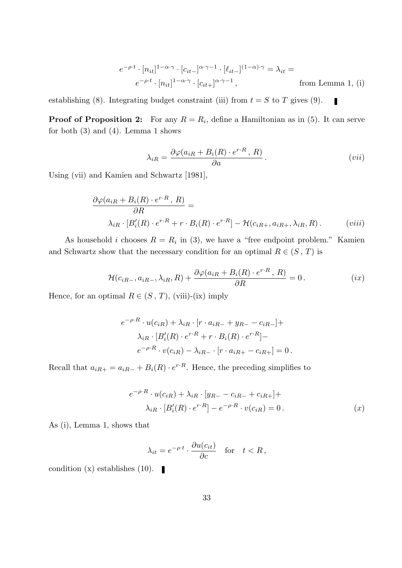$$
e^{-\rho \cdot t} \cdot [n_{it}]^{1-\alpha \cdot \gamma} \cdot [c_{it-}]^{\alpha \cdot \gamma-1} \cdot [\ell_{it-}]^{(1-\alpha)\cdot \gamma} = \lambda_{it} =
$$
  

$$
e^{-\rho \cdot t} \cdot [n_{it}]^{1-\alpha \cdot \gamma} \cdot [c_{it+}]^{\alpha \cdot \gamma-1},
$$
 from Lemma 1, (i)

establishing (8). Integrating budget constraint (iii) from  $t = S$  to T gives (9).  $\blacksquare$ 

**Proof of Proposition 2:** For any  $R = R_i$ , define a Hamiltonian as in (5). It can serve for both  $(3)$  and  $(4)$ . Lemma 1 shows

$$
\lambda_{iR} = \frac{\partial \varphi(a_{iR} + B_i(R) \cdot e^{r \cdot R}, R)}{\partial a}.
$$
 (vii)

Using (vii) and Kamien and Schwartz [1981],

$$
\frac{\partial \varphi(a_{iR} + B_i(R) \cdot e^{r \cdot R}, R)}{\partial R} =
$$
\n
$$
\lambda_{iR} \cdot [B_i'(R) \cdot e^{r \cdot R} + r \cdot B_i(R) \cdot e^{r \cdot R}] - \mathcal{H}(c_{iR+1}, a_{iR+1}, \lambda_{iR}, R).
$$
\n(viii)

As household *i* chooses  $R = R_i$  in (3), we have a "free endpoint problem." Kamien and Schwartz show that the necessary condition for an optimal  $R \in (S, T)$  is

$$
\mathcal{H}(c_{iR-}, a_{iR-}, \lambda_{iR}, R) + \frac{\partial \varphi(a_{iR} + B_i(R) \cdot e^{r \cdot R}, R)}{\partial R} = 0.
$$
 (ix)

Hence, for an optimal  $R \in (S, T)$ , (viii)-(ix) imply

$$
e^{-\rho \cdot R} \cdot u(c_{iR}) + \lambda_{iR} \cdot [r \cdot a_{iR-} + y_{R-} - c_{iR-}] +
$$
  

$$
\lambda_{iR} \cdot [B_i'(R) \cdot e^{r \cdot R} + r \cdot B_i(R) \cdot e^{r \cdot R}] -
$$
  

$$
e^{-\rho \cdot R} \cdot v(c_{iR}) - \lambda_{iR-} \cdot [r \cdot a_{iR+} - c_{iR+}] = 0.
$$

Recall that  $a_{iR+} = a_{iR-} + B_i(R) \cdot e^{r \cdot R}$ . Hence, the preceding simplifies to

$$
e^{-\rho \cdot R} \cdot u(c_{iR}) + \lambda_{iR} \cdot [y_{R-} - c_{iR-} + c_{iR+}] +
$$
  

$$
\lambda_{iR} \cdot [B_i'(R) \cdot e^{r \cdot R}] - e^{-\rho \cdot R} \cdot v(c_{iR}) = 0.
$$
 (x)

As (i), Lemma 1, shows that

$$
\lambda_{it} = e^{-\rho \cdot t} \cdot \frac{\partial u(c_{it})}{\partial c} \quad \text{for} \quad t < R \,,
$$

condition (x) establishes (10).  $\blacksquare$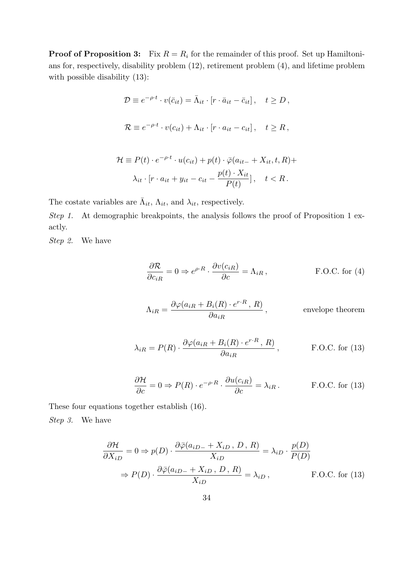**Proof of Proposition 3:** Fix  $R = R_i$  for the remainder of this proof. Set up Hamiltonians for, respectively, disability problem (12), retirement problem (4), and lifetime problem with possible disability  $(13)$ :

$$
\mathcal{D} \equiv e^{-\rho \cdot t} \cdot v(\bar{c}_{it}) = \bar{\Lambda}_{it} \cdot [r \cdot \bar{a}_{it} - \bar{c}_{it}], \quad t \geq D,
$$
  

$$
\mathcal{R} \equiv e^{-\rho \cdot t} \cdot v(c_{it}) + \Lambda_{it} \cdot [r \cdot a_{it} - c_{it}], \quad t \geq R,
$$

$$
\mathcal{H} \equiv P(t) \cdot e^{-\rho \cdot t} \cdot u(c_{it}) + p(t) \cdot \bar{\varphi}(a_{it-} + X_{it}, t, R) +
$$

$$
\lambda_{it} \cdot [r \cdot a_{it} + y_{it} - c_{it} - \frac{p(t) \cdot X_{it}}{P(t)}], \quad t < R.
$$

The costate variables are  $\bar{\Lambda}_{it}$ ,  $\Lambda_{it}$ , and  $\lambda_{it}$ , respectively.

Step 1. At demographic breakpoints, the analysis follows the proof of Proposition 1 exactly.

Step 2. We have

$$
\frac{\partial \mathcal{R}}{\partial c_{iR}} = 0 \Rightarrow e^{\rho \cdot R} \cdot \frac{\partial v(c_{iR})}{\partial c} = \Lambda_{iR},
$$
 F.O.C. for (4)

$$
\Lambda_{iR} = \frac{\partial \varphi(a_{iR} + B_i(R) \cdot e^{r \cdot R}, R)}{\partial a_{iR}},
$$
 envelope theorem

$$
\lambda_{iR} = P(R) \cdot \frac{\partial \varphi(a_{iR} + B_i(R) \cdot e^{r \cdot R}, R)}{\partial a_{iR}}, \qquad \text{F.O.C. for (13)}
$$

$$
\frac{\partial \mathcal{H}}{\partial c} = 0 \Rightarrow P(R) \cdot e^{-\rho \cdot R} \cdot \frac{\partial u(c_{iR})}{\partial c} = \lambda_{iR}.
$$
 F.O.C. for (13)

These four equations together establish (16).

Step 3. We have

$$
\frac{\partial \mathcal{H}}{\partial X_{iD}} = 0 \Rightarrow p(D) \cdot \frac{\partial \bar{\varphi}(a_{iD-} + X_{iD}, D, R)}{X_{iD}} = \lambda_{iD} \cdot \frac{p(D)}{P(D)}
$$

$$
\Rightarrow P(D) \cdot \frac{\partial \bar{\varphi}(a_{iD-} + X_{iD}, D, R)}{X_{iD}} = \lambda_{iD}, \qquad \text{F.O.C. for (13)}
$$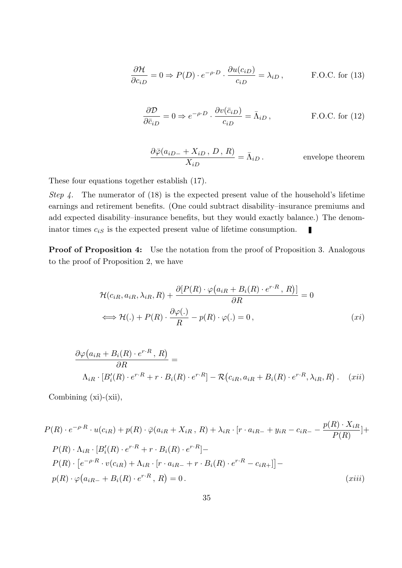$$
\frac{\partial \mathcal{H}}{\partial c_{iD}} = 0 \Rightarrow P(D) \cdot e^{-\rho \cdot D} \cdot \frac{\partial u(c_{iD})}{c_{iD}} = \lambda_{iD}, \quad \text{F.O.C. for (13)}
$$

$$
\frac{\partial \mathcal{D}}{\partial \bar{c}_{iD}} = 0 \Rightarrow e^{-\rho \cdot D} \cdot \frac{\partial v(\bar{c}_{iD})}{c_{iD}} = \bar{\Lambda}_{iD}, \qquad \text{F.O.C. for (12)}
$$

$$
\frac{\partial \bar{\varphi}(a_{iD-} + X_{iD}, D, R)}{X_{iD}} = \bar{\Lambda}_{iD}.
$$
 envelope theorem

These four equations together establish (17).

Step 4. The numerator of  $(18)$  is the expected present value of the household's lifetime earnings and retirement benefits. (One could subtract disability–insurance premiums and add expected disability–insurance benefits, but they would exactly balance.) The denominator times  $c_{iS}$  is the expected present value of lifetime consumption. П

Proof of Proposition 4: Use the notation from the proof of Proposition 3. Analogous to the proof of Proposition 2, we have

$$
\mathcal{H}(c_{iR}, a_{iR}, \lambda_{iR}, R) + \frac{\partial [P(R) \cdot \varphi(a_{iR} + B_i(R) \cdot e^{r \cdot R}, R)]}{\partial R} = 0
$$
  

$$
\iff \mathcal{H}(.) + P(R) \cdot \frac{\partial \varphi(.)}{R} - p(R) \cdot \varphi(.) = 0,
$$
 (xi)

$$
\frac{\partial \varphi(a_{iR} + B_i(R) \cdot e^{r \cdot R}, R)}{\partial R} =
$$
\n
$$
\Lambda_{iR} \cdot [B_i'(R) \cdot e^{r \cdot R} + r \cdot B_i(R) \cdot e^{r \cdot R}] - \mathcal{R}(c_{iR}, a_{iR} + B_i(R) \cdot e^{r \cdot R}, \lambda_{iR}, R).
$$
\n(xii)

Combining (xi)-(xii),

$$
P(R) \cdot e^{-\rho \cdot R} \cdot u(c_{iR}) + p(R) \cdot \bar{\varphi}(a_{iR} + X_{iR}, R) + \lambda_{iR} \cdot [r \cdot a_{iR-} + y_{iR} - c_{iR-} - \frac{p(R) \cdot X_{iR}}{P(R)}] +
$$
  
\n
$$
P(R) \cdot \Lambda_{iR} \cdot [B'_{i}(R) \cdot e^{r \cdot R} + r \cdot B_{i}(R) \cdot e^{r \cdot R}] -
$$
  
\n
$$
P(R) \cdot [e^{-\rho \cdot R} \cdot v(c_{iR}) + \Lambda_{iR} \cdot [r \cdot a_{iR-} + r \cdot B_{i}(R) \cdot e^{r \cdot R} - c_{iR+}]] -
$$
  
\n
$$
p(R) \cdot \varphi(a_{iR-} + B_{i}(R) \cdot e^{r \cdot R}, R) = 0.
$$
  
\n(xiii)